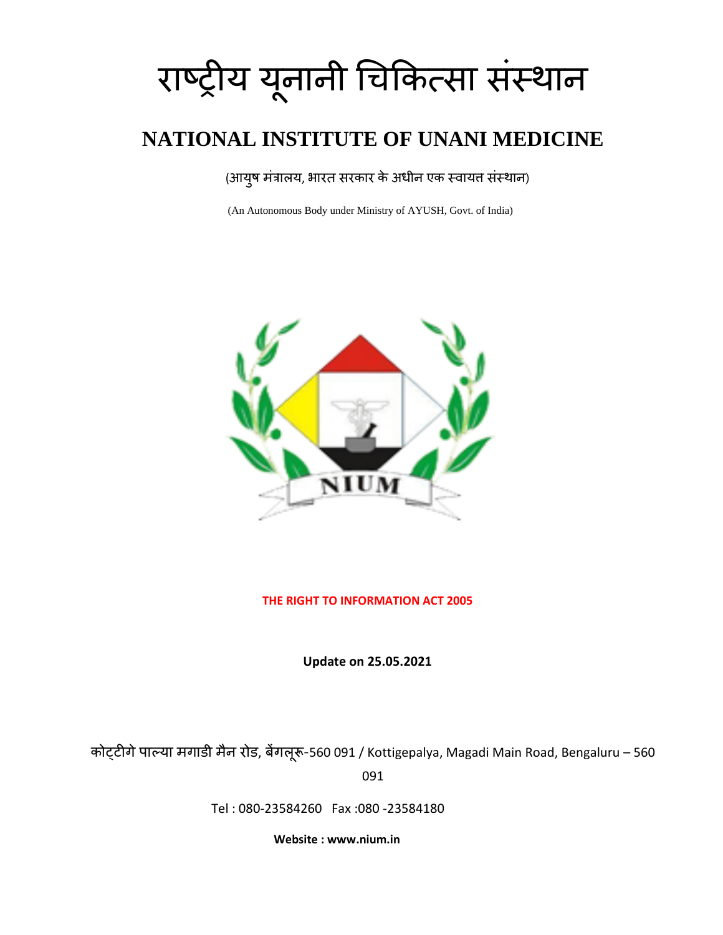# राष्ट्रीय यूनानी चिकित्सा संस्थान

# **NATIONAL INSTITUTE OF UNANI MEDICINE**

# (आयुष मंत्रालय, भारत सरकार के अधीन एक स्वायत संस्थान)

(An Autonomous Body under Ministry of AYUSH, Govt. of India)



#### **THE RIGHT TO INFORMATION ACT 2005**

**Update on 25.05.2021**

िोट्टीगेपाल्या मगाडी मैन रोड, बेंगलूरू-560 091 / Kottigepalya, Magadi Main Road, Bengaluru – 560 091

Tel : 080-23584260 Fax :080 -23584180

 **Website : www.nium.in**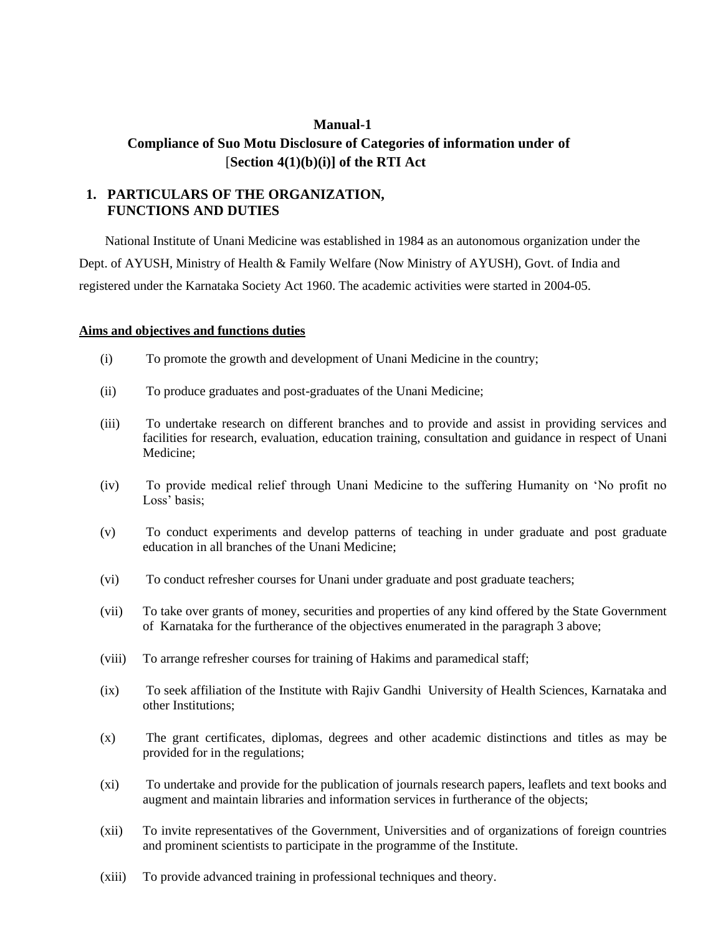# **Manual-1 Compliance of Suo Motu Disclosure of Categories of information under of** [**Section 4(1)(b)(i)] of the RTI Act**

## **1. PARTICULARS OF THE ORGANIZATION, FUNCTIONS AND DUTIES**

 National Institute of Unani Medicine was established in 1984 as an autonomous organization under the Dept. of AYUSH, Ministry of Health & Family Welfare (Now Ministry of AYUSH), Govt. of India and registered under the Karnataka Society Act 1960. The academic activities were started in 2004-05.

#### **Aims and objectives and functions duties**

- (i) To promote the growth and development of Unani Medicine in the country;
- (ii) To produce graduates and post-graduates of the Unani Medicine;
- (iii) To undertake research on different branches and to provide and assist in providing services and facilities for research, evaluation, education training, consultation and guidance in respect of Unani Medicine;
- (iv) To provide medical relief through Unani Medicine to the suffering Humanity on 'No profit no Loss' basis;
- (v) To conduct experiments and develop patterns of teaching in under graduate and post graduate education in all branches of the Unani Medicine;
- (vi) To conduct refresher courses for Unani under graduate and post graduate teachers;
- (vii) To take over grants of money, securities and properties of any kind offered by the State Government of Karnataka for the furtherance of the objectives enumerated in the paragraph 3 above;
- (viii) To arrange refresher courses for training of Hakims and paramedical staff;
- (ix) To seek affiliation of the Institute with Rajiv Gandhi University of Health Sciences, Karnataka and other Institutions;
- (x) The grant certificates, diplomas, degrees and other academic distinctions and titles as may be provided for in the regulations;
- (xi) To undertake and provide for the publication of journals research papers, leaflets and text books and augment and maintain libraries and information services in furtherance of the objects;
- (xii) To invite representatives of the Government, Universities and of organizations of foreign countries and prominent scientists to participate in the programme of the Institute.
- (xiii) To provide advanced training in professional techniques and theory.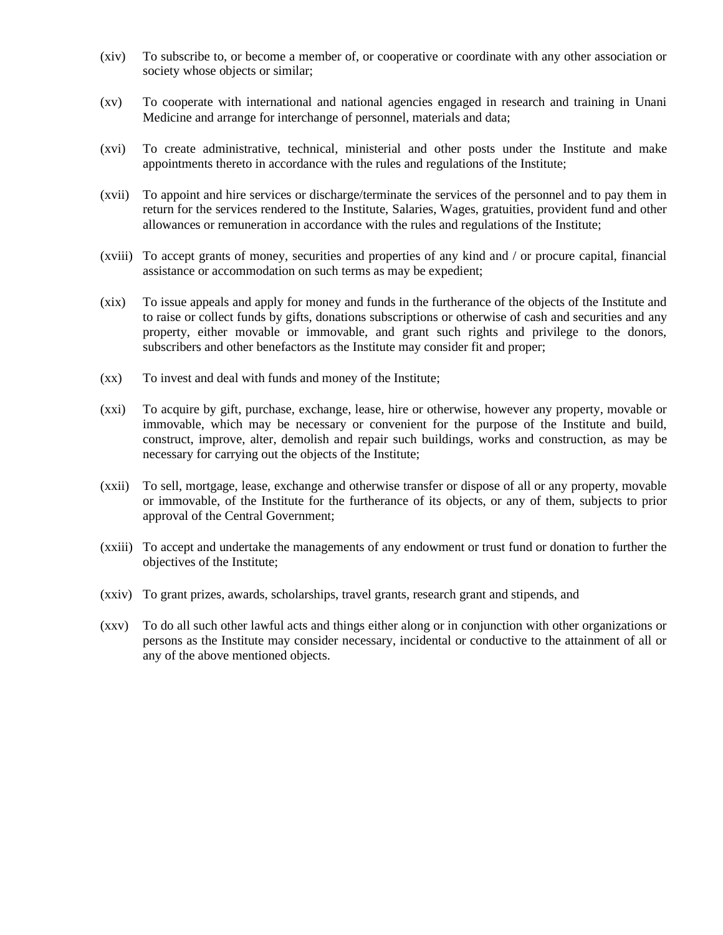- (xiv) To subscribe to, or become a member of, or cooperative or coordinate with any other association or society whose objects or similar;
- (xv) To cooperate with international and national agencies engaged in research and training in Unani Medicine and arrange for interchange of personnel, materials and data;
- (xvi) To create administrative, technical, ministerial and other posts under the Institute and make appointments thereto in accordance with the rules and regulations of the Institute;
- (xvii) To appoint and hire services or discharge/terminate the services of the personnel and to pay them in return for the services rendered to the Institute, Salaries, Wages, gratuities, provident fund and other allowances or remuneration in accordance with the rules and regulations of the Institute;
- (xviii) To accept grants of money, securities and properties of any kind and / or procure capital, financial assistance or accommodation on such terms as may be expedient;
- (xix) To issue appeals and apply for money and funds in the furtherance of the objects of the Institute and to raise or collect funds by gifts, donations subscriptions or otherwise of cash and securities and any property, either movable or immovable, and grant such rights and privilege to the donors, subscribers and other benefactors as the Institute may consider fit and proper;
- (xx) To invest and deal with funds and money of the Institute;
- (xxi) To acquire by gift, purchase, exchange, lease, hire or otherwise, however any property, movable or immovable, which may be necessary or convenient for the purpose of the Institute and build, construct, improve, alter, demolish and repair such buildings, works and construction, as may be necessary for carrying out the objects of the Institute;
- (xxii) To sell, mortgage, lease, exchange and otherwise transfer or dispose of all or any property, movable or immovable, of the Institute for the furtherance of its objects, or any of them, subjects to prior approval of the Central Government;
- (xxiii) To accept and undertake the managements of any endowment or trust fund or donation to further the objectives of the Institute;
- (xxiv) To grant prizes, awards, scholarships, travel grants, research grant and stipends, and
- (xxv) To do all such other lawful acts and things either along or in conjunction with other organizations or persons as the Institute may consider necessary, incidental or conductive to the attainment of all or any of the above mentioned objects.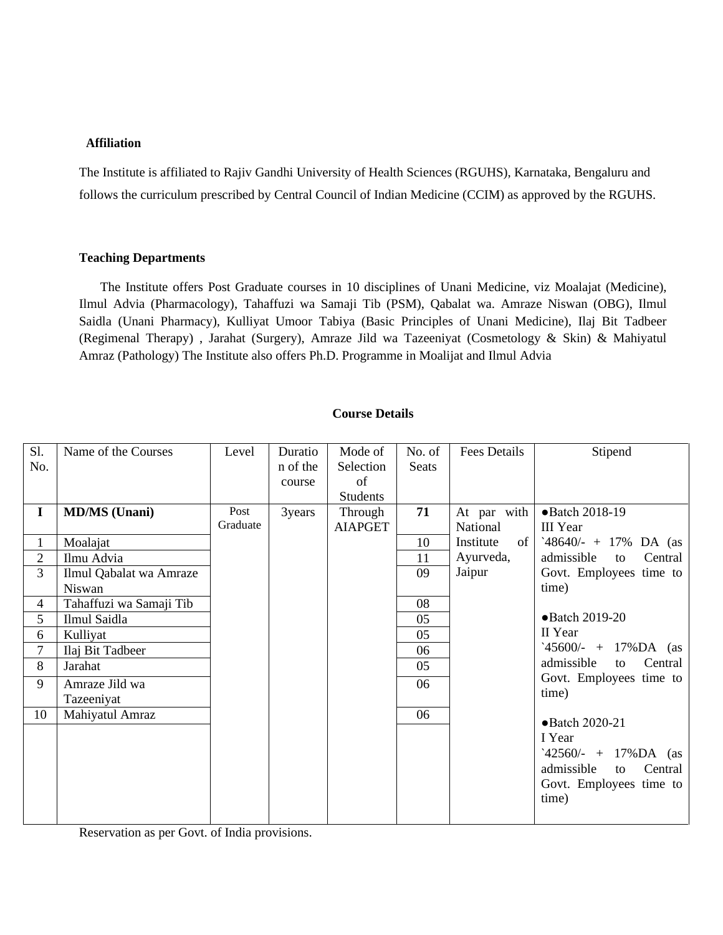#### **Affiliation**

The Institute is affiliated to Rajiv Gandhi University of Health Sciences (RGUHS), Karnataka, Bengaluru and follows the curriculum prescribed by Central Council of Indian Medicine (CCIM) as approved by the RGUHS.

#### **Teaching Departments**

The Institute offers Post Graduate courses in 10 disciplines of Unani Medicine, viz Moalajat (Medicine), Ilmul Advia (Pharmacology), Tahaffuzi wa Samaji Tib (PSM), Qabalat wa. Amraze Niswan (OBG), Ilmul Saidla (Unani Pharmacy), Kulliyat Umoor Tabiya (Basic Principles of Unani Medicine), Ilaj Bit Tadbeer (Regimenal Therapy) , Jarahat (Surgery), Amraze Jild wa Tazeeniyat (Cosmetology & Skin) & Mahiyatul Amraz (Pathology) The Institute also offers Ph.D. Programme in Moalijat and Ilmul Advia

| S1.            | Name of the Courses     | Level    | Duratio  | Mode of         | No. of       | Fees Details    | Stipend                     |
|----------------|-------------------------|----------|----------|-----------------|--------------|-----------------|-----------------------------|
| No.            |                         |          | n of the | Selection       | <b>Seats</b> |                 |                             |
|                |                         |          | course   | of              |              |                 |                             |
|                |                         |          |          | <b>Students</b> |              |                 |                             |
| $\bf{I}$       | <b>MD/MS</b> (Unani)    | Post     | 3years   | Through         | 71           | At par with     | •Batch 2018-19              |
|                |                         | Graduate |          | <b>AIAPGET</b>  |              | National        | <b>III</b> Year             |
| 1              | Moalajat                |          |          |                 | 10           | Institute<br>of | '48640/- + 17% DA (as       |
| $\overline{2}$ | Ilmu Advia              |          |          |                 | 11           | Ayurveda,       | admissible<br>Central<br>to |
| 3              | Ilmul Qabalat wa Amraze |          |          |                 | 09           | Jaipur          | Govt. Employees time to     |
|                | Niswan                  |          |          |                 |              |                 | time)                       |
| 4              | Tahaffuzi wa Samaji Tib |          |          |                 | 08           |                 |                             |
| 5              | Ilmul Saidla            |          |          |                 | 05           |                 | •Batch 2019-20              |
| 6              | Kulliyat                |          |          |                 | 05           |                 | II Year                     |
| 7              | Ilaj Bit Tadbeer        |          |          |                 | 06           |                 | $45600/- + 17\%DA$ (as      |
| 8              | Jarahat                 |          |          |                 | 05           |                 | admissible<br>Central<br>to |
| 9              | Amraze Jild wa          |          |          |                 | 06           |                 | Govt. Employees time to     |
|                | Tazeeniyat              |          |          |                 |              |                 | time)                       |
| 10             | Mahiyatul Amraz         |          |          |                 | 06           |                 | •Batch 2020-21              |
|                |                         |          |          |                 |              |                 | I Year                      |
|                |                         |          |          |                 |              |                 | $42560/- + 17\%DA$ (as      |
|                |                         |          |          |                 |              |                 | admissible<br>Central<br>to |
|                |                         |          |          |                 |              |                 |                             |
|                |                         |          |          |                 |              |                 | Govt. Employees time to     |
|                |                         |          |          |                 |              |                 | time)                       |
|                |                         |          |          |                 |              |                 |                             |

**Course Details**

Reservation as per Govt. of India provisions.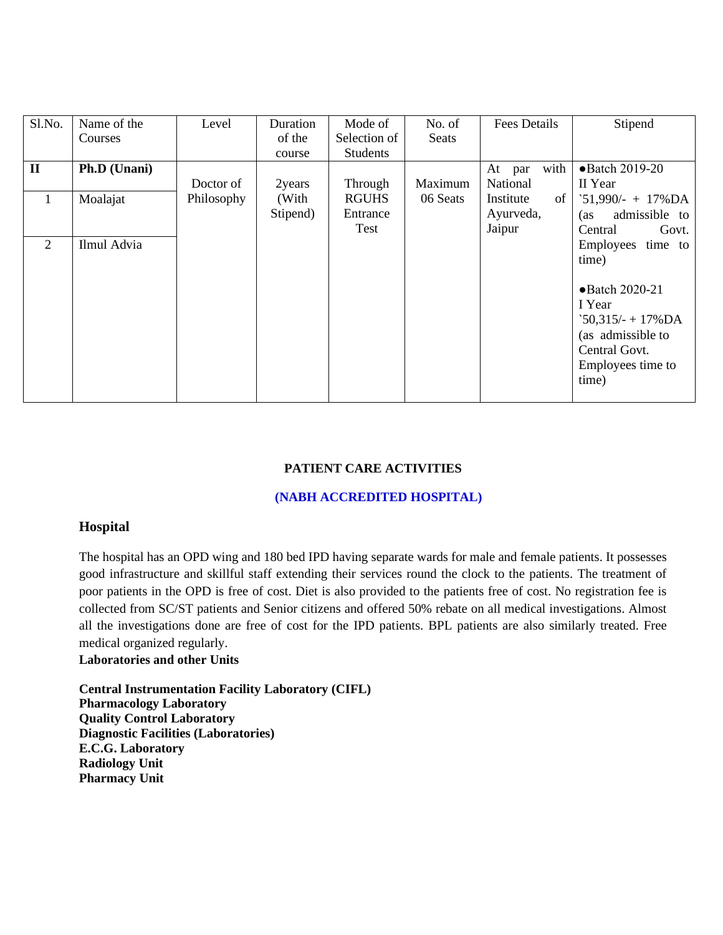| Sl.No.         | Name of the  | Level      | Duration | Mode of         | No. of   | <b>Fees Details</b> | Stipend               |
|----------------|--------------|------------|----------|-----------------|----------|---------------------|-----------------------|
|                | Courses      |            | of the   | Selection of    | Seats    |                     |                       |
|                |              |            | course   | <b>Students</b> |          |                     |                       |
| $\mathbf{I}$   | Ph.D (Unani) |            |          |                 |          | with<br>At<br>par   | •Batch 2019-20        |
|                |              | Doctor of  | 2years   | Through         | Maximum  | National            | II Year               |
| $\overline{1}$ | Moalajat     | Philosophy | (With    | <b>RGUHS</b>    | 06 Seats | Institute<br>of     | $51,990/ - + 17\% DA$ |
|                |              |            | Stipend) | Entrance        |          | Ayurveda,           | admissible to<br>(as  |
|                |              |            |          | Test            |          | Jaipur              | Central<br>Govt.      |
| 2              | Ilmul Advia  |            |          |                 |          |                     | Employees<br>time to  |
|                |              |            |          |                 |          |                     | time)                 |
|                |              |            |          |                 |          |                     |                       |
|                |              |            |          |                 |          |                     | •Batch 2020-21        |
|                |              |            |          |                 |          |                     | I Year                |
|                |              |            |          |                 |          |                     | $50,315/- + 17\%DA$   |
|                |              |            |          |                 |          |                     | (as admissible to     |
|                |              |            |          |                 |          |                     | Central Govt.         |
|                |              |            |          |                 |          |                     | Employees time to     |
|                |              |            |          |                 |          |                     | time)                 |
|                |              |            |          |                 |          |                     |                       |

#### **PATIENT CARE ACTIVITIES**

#### **(NABH ACCREDITED HOSPITAL)**

#### **Hospital**

The hospital has an OPD wing and 180 bed IPD having separate wards for male and female patients. It possesses good infrastructure and skillful staff extending their services round the clock to the patients. The treatment of poor patients in the OPD is free of cost. Diet is also provided to the patients free of cost. No registration fee is collected from SC/ST patients and Senior citizens and offered 50% rebate on all medical investigations. Almost all the investigations done are free of cost for the IPD patients. BPL patients are also similarly treated. Free medical organized regularly.

#### **Laboratories and other Units**

**Central Instrumentation Facility Laboratory (CIFL) Pharmacology Laboratory Quality Control Laboratory Diagnostic Facilities (Laboratories) E.C.G. Laboratory Radiology Unit Pharmacy Unit**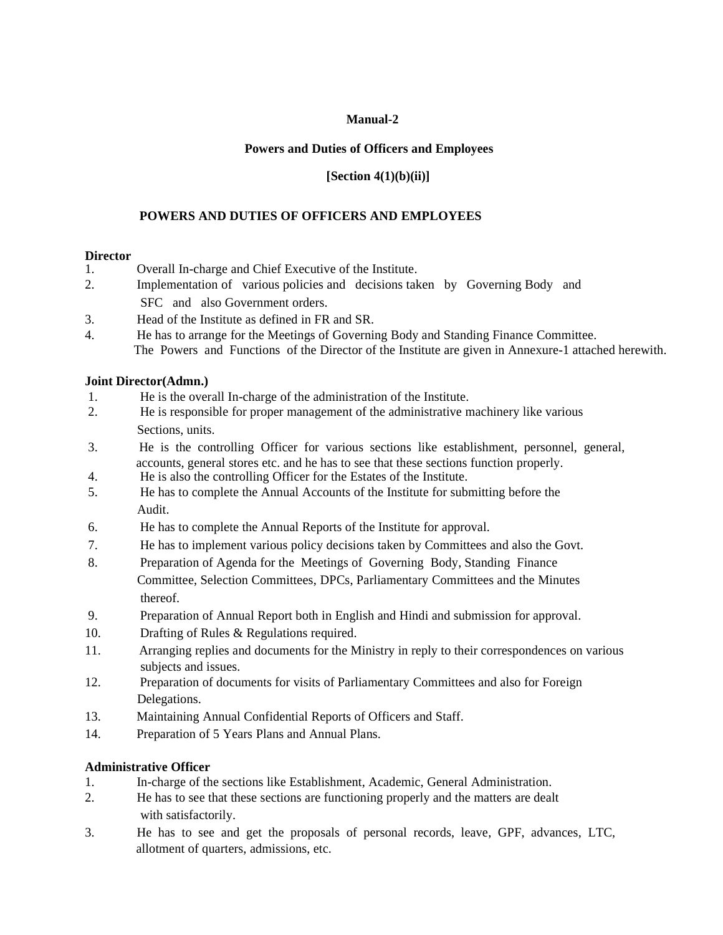#### **Powers and Duties of Officers and Employees**

#### **[Section 4(1)(b)(ii)]**

#### **POWERS AND DUTIES OF OFFICERS AND EMPLOYEES**

#### **Director**

- 1. Overall In-charge and Chief Executive of the Institute.
- 2. Implementation of various policies and decisions taken by Governing Body and SFC and also Government orders.
- 3. Head of the Institute as defined in FR and SR.
- 4. He has to arrange for the Meetings of Governing Body and Standing Finance Committee. The Powers and Functions of the Director of the Institute are given in Annexure-1 attached herewith.

#### **Joint Director(Admn.)**

- 1. He is the overall In-charge of the administration of the Institute.
- 2. He is responsible for proper management of the administrative machinery like various Sections, units.
- 3. He is the controlling Officer for various sections like establishment, personnel, general, accounts, general stores etc. and he has to see that these sections function properly.<br>He is also the controlling Officer for the Estates of the Institute
- 4. He is also the controlling Officer for the Estates of the Institute.
- 5. He has to complete the Annual Accounts of the Institute for submitting before the Audit.
- 6. He has to complete the Annual Reports of the Institute for approval.
- 7. He has to implement various policy decisions taken by Committees and also the Govt.
- 8. Preparation of Agenda for the Meetings of Governing Body, Standing Finance Committee, Selection Committees, DPCs, Parliamentary Committees and the Minutes thereof.
- 9. Preparation of Annual Report both in English and Hindi and submission for approval.
- 10. Drafting of Rules & Regulations required.
- 11. Arranging replies and documents for the Ministry in reply to their correspondences on various subjects and issues.
- 12. Preparation of documents for visits of Parliamentary Committees and also for Foreign Delegations.
- 13. Maintaining Annual Confidential Reports of Officers and Staff.
- 14. Preparation of 5 Years Plans and Annual Plans.

#### **Administrative Officer**

- 1. In-charge of the sections like Establishment, Academic, General Administration.
- 2. He has to see that these sections are functioning properly and the matters are dealt with satisfactorily.
- 3. He has to see and get the proposals of personal records, leave, GPF, advances, LTC, allotment of quarters, admissions, etc.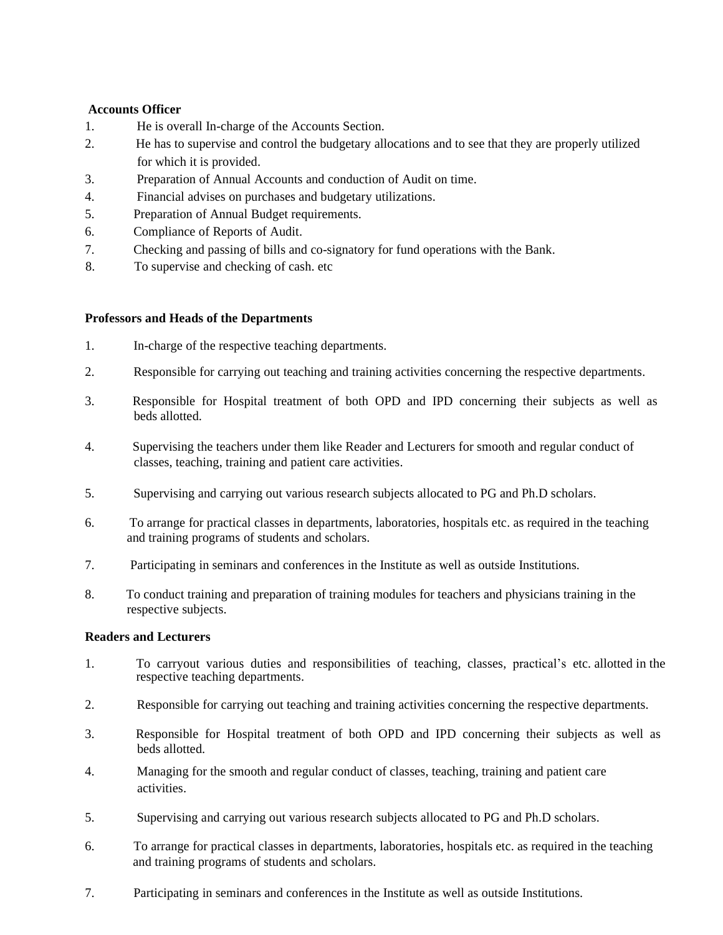#### **Accounts Officer**

- 1. He is overall In-charge of the Accounts Section.
- 2. He has to supervise and control the budgetary allocations and to see that they are properly utilized for which it is provided.
- 3. Preparation of Annual Accounts and conduction of Audit on time.
- 4. Financial advises on purchases and budgetary utilizations.
- 5. Preparation of Annual Budget requirements.
- 6. Compliance of Reports of Audit.
- 7. Checking and passing of bills and co-signatory for fund operations with the Bank.
- 8. To supervise and checking of cash. etc

#### **Professors and Heads of the Departments**

- 1. In-charge of the respective teaching departments.
- 2. Responsible for carrying out teaching and training activities concerning the respective departments.
- 3. Responsible for Hospital treatment of both OPD and IPD concerning their subjects as well as beds allotted.
- 4. Supervising the teachers under them like Reader and Lecturers for smooth and regular conduct of classes, teaching, training and patient care activities.
- 5. Supervising and carrying out various research subjects allocated to PG and Ph.D scholars.
- 6. To arrange for practical classes in departments, laboratories, hospitals etc. as required in the teaching and training programs of students and scholars.
- 7. Participating in seminars and conferences in the Institute as well as outside Institutions.
- 8. To conduct training and preparation of training modules for teachers and physicians training in the respective subjects.

#### **Readers and Lecturers**

- 1. To carryout various duties and responsibilities of teaching, classes, practical's etc. allotted in the respective teaching departments.
- 2. Responsible for carrying out teaching and training activities concerning the respective departments.
- 3. Responsible for Hospital treatment of both OPD and IPD concerning their subjects as well as beds allotted.
- 4. Managing for the smooth and regular conduct of classes, teaching, training and patient care activities.
- 5. Supervising and carrying out various research subjects allocated to PG and Ph.D scholars.
- 6. To arrange for practical classes in departments, laboratories, hospitals etc. as required in the teaching and training programs of students and scholars.
- 7. Participating in seminars and conferences in the Institute as well as outside Institutions.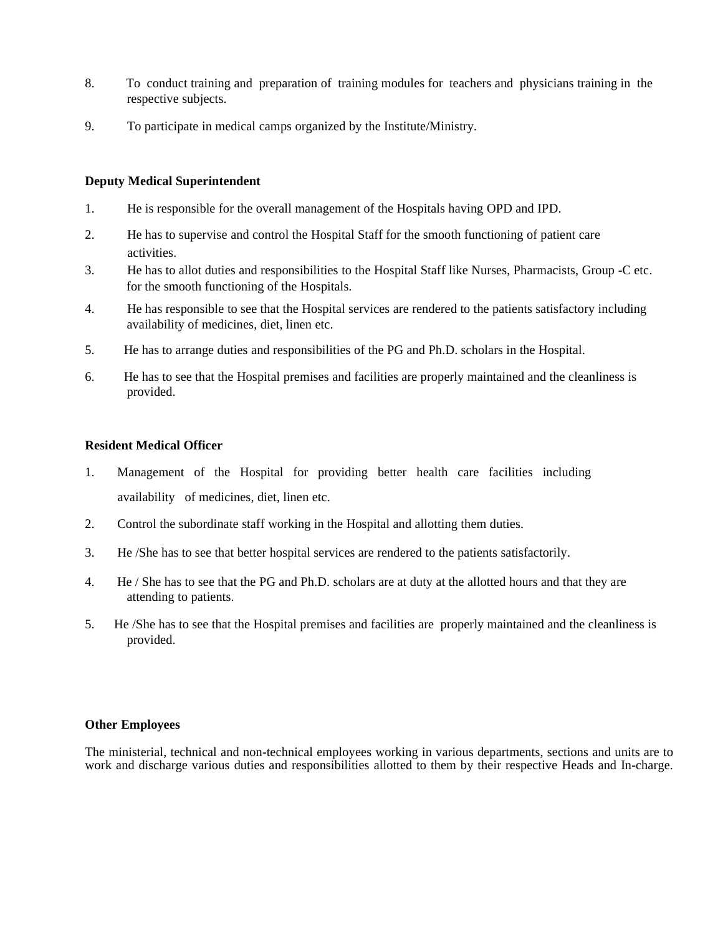- 8. To conduct training and preparation of training modules for teachers and physicians training in the respective subjects.
- 9. To participate in medical camps organized by the Institute/Ministry.

#### **Deputy Medical Superintendent**

- 1. He is responsible for the overall management of the Hospitals having OPD and IPD.
- 2. He has to supervise and control the Hospital Staff for the smooth functioning of patient care activities.
- 3. He has to allot duties and responsibilities to the Hospital Staff like Nurses, Pharmacists, Group -C etc. for the smooth functioning of the Hospitals.
- 4. He has responsible to see that the Hospital services are rendered to the patients satisfactory including availability of medicines, diet, linen etc.
- 5. He has to arrange duties and responsibilities of the PG and Ph.D. scholars in the Hospital.
- 6. He has to see that the Hospital premises and facilities are properly maintained and the cleanliness is provided.

#### **Resident Medical Officer**

- 1. Management of the Hospital for providing better health care facilities including availability of medicines, diet, linen etc.
- 2. Control the subordinate staff working in the Hospital and allotting them duties.
- 3. He /She has to see that better hospital services are rendered to the patients satisfactorily.
- 4. He / She has to see that the PG and Ph.D. scholars are at duty at the allotted hours and that they are attending to patients.
- 5. He /She has to see that the Hospital premises and facilities are properly maintained and the cleanliness is provided.

#### **Other Employees**

The ministerial, technical and non-technical employees working in various departments, sections and units are to work and discharge various duties and responsibilities allotted to them by their respective Heads and In-charge.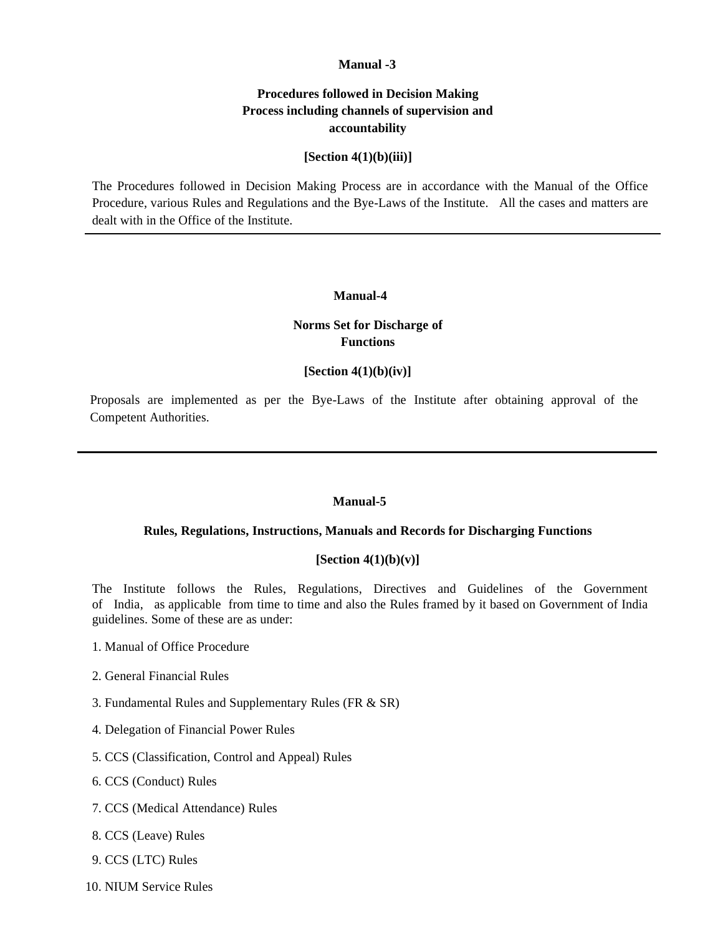#### **Procedures followed in Decision Making Process including channels of supervision and accountability**

#### **[Section 4(1)(b)(iii)]**

The Procedures followed in Decision Making Process are in accordance with the Manual of the Office Procedure, various Rules and Regulations and the Bye-Laws of the Institute. All the cases and matters are dealt with in the Office of the Institute.

#### **Manual-4**

### **Norms Set for Discharge of Functions**

#### **[Section 4(1)(b)(iv)]**

Proposals are implemented as per the Bye-Laws of the Institute after obtaining approval of the Competent Authorities.

#### **Manual-5**

#### **Rules, Regulations, Instructions, Manuals and Records for Discharging Functions**

#### **[Section 4(1)(b)(v)]**

The Institute follows the Rules, Regulations, Directives and Guidelines of the Government of India, as applicable from time to time and also the Rules framed by it based on Government of India guidelines. Some of these are as under:

- 1. Manual of Office Procedure
- 2. General Financial Rules
- 3. Fundamental Rules and Supplementary Rules (FR & SR)
- 4. Delegation of Financial Power Rules
- 5. CCS (Classification, Control and Appeal) Rules
- 6. CCS (Conduct) Rules
- 7. CCS (Medical Attendance) Rules
- 8. CCS (Leave) Rules
- 9. CCS (LTC) Rules
- 10. NIUM Service Rules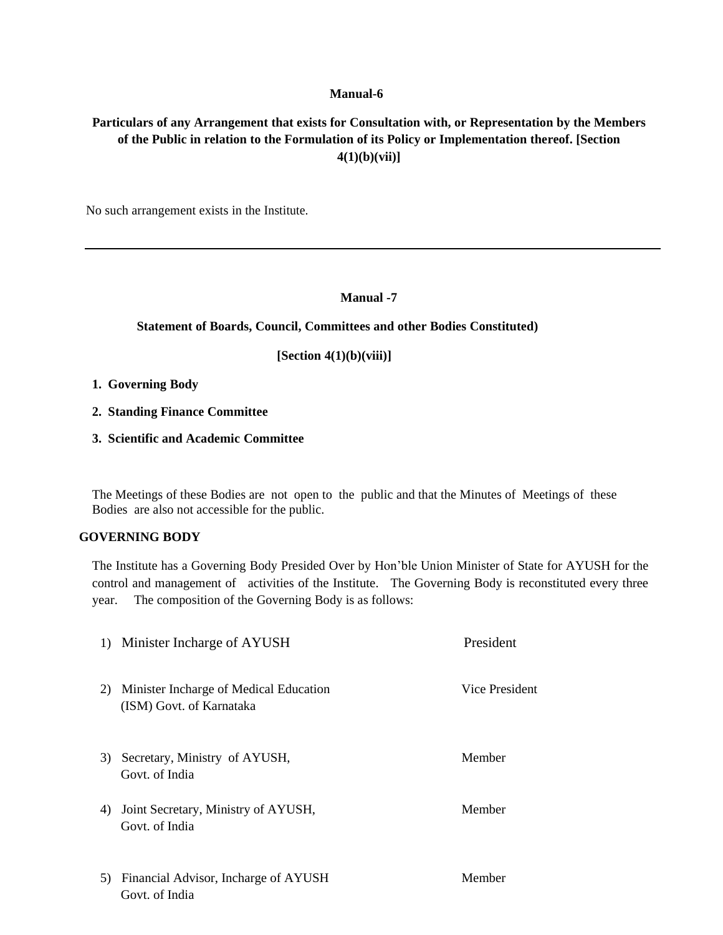## **Particulars of any Arrangement that exists for Consultation with, or Representation by the Members of the Public in relation to the Formulation of its Policy or Implementation thereof. [Section 4(1)(b)(vii)]**

No such arrangement exists in the Institute.

#### **Manual -7**

#### **Statement of Boards, Council, Committees and other Bodies Constituted)**

 **[Section 4(1)(b)(viii)]**

- **1. Governing Body**
- **2. Standing Finance Committee**
- **3. Scientific and Academic Committee**

The Meetings of these Bodies are not open to the public and that the Minutes of Meetings of these Bodies are also not accessible for the public.

#### **GOVERNING BODY**

The Institute has a Governing Body Presided Over by Hon'ble Union Minister of State for AYUSH for the control and management of activities of the Institute. The Governing Body is reconstituted every three year. The composition of the Governing Body is as follows:

| 1) Minister Incharge of AYUSH                                            | President      |
|--------------------------------------------------------------------------|----------------|
| Minister Incharge of Medical Education<br>2)<br>(ISM) Govt. of Karnataka | Vice President |
| 3) Secretary, Ministry of AYUSH,<br>Govt. of India                       | Member         |
| Joint Secretary, Ministry of AYUSH,<br>4)<br>Govt. of India              | Member         |
| Financial Advisor, Incharge of AYUSH<br>5)<br>Govt. of India             | Member         |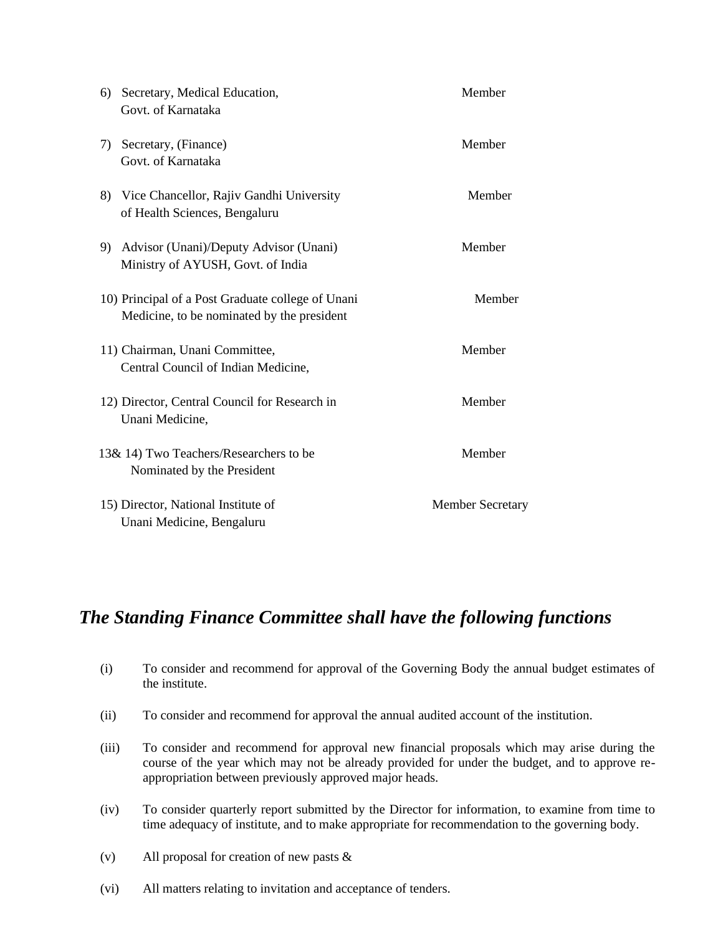| Secretary, Medical Education,<br>6)<br>Govt. of Karnataka                                       | Member                  |
|-------------------------------------------------------------------------------------------------|-------------------------|
| Secretary, (Finance)<br>7)<br>Govt. of Karnataka                                                | Member                  |
| 8) Vice Chancellor, Rajiv Gandhi University<br>of Health Sciences, Bengaluru                    | Member                  |
| 9) Advisor (Unani)/Deputy Advisor (Unani)<br>Ministry of AYUSH, Govt. of India                  | Member                  |
| 10) Principal of a Post Graduate college of Unani<br>Medicine, to be nominated by the president | Member                  |
| 11) Chairman, Unani Committee,<br>Central Council of Indian Medicine,                           | Member                  |
| 12) Director, Central Council for Research in<br>Unani Medicine,                                | Member                  |
| 13& 14) Two Teachers/Researchers to be<br>Nominated by the President                            | Member                  |
| 15) Director, National Institute of<br>Unani Medicine, Bengaluru                                | <b>Member Secretary</b> |

# *The Standing Finance Committee shall have the following functions*

- (i) To consider and recommend for approval of the Governing Body the annual budget estimates of the institute.
- (ii) To consider and recommend for approval the annual audited account of the institution.
- (iii) To consider and recommend for approval new financial proposals which may arise during the course of the year which may not be already provided for under the budget, and to approve reappropriation between previously approved major heads.
- (iv) To consider quarterly report submitted by the Director for information, to examine from time to time adequacy of institute, and to make appropriate for recommendation to the governing body.
- (v) All proposal for creation of new pasts &
- (vi) All matters relating to invitation and acceptance of tenders.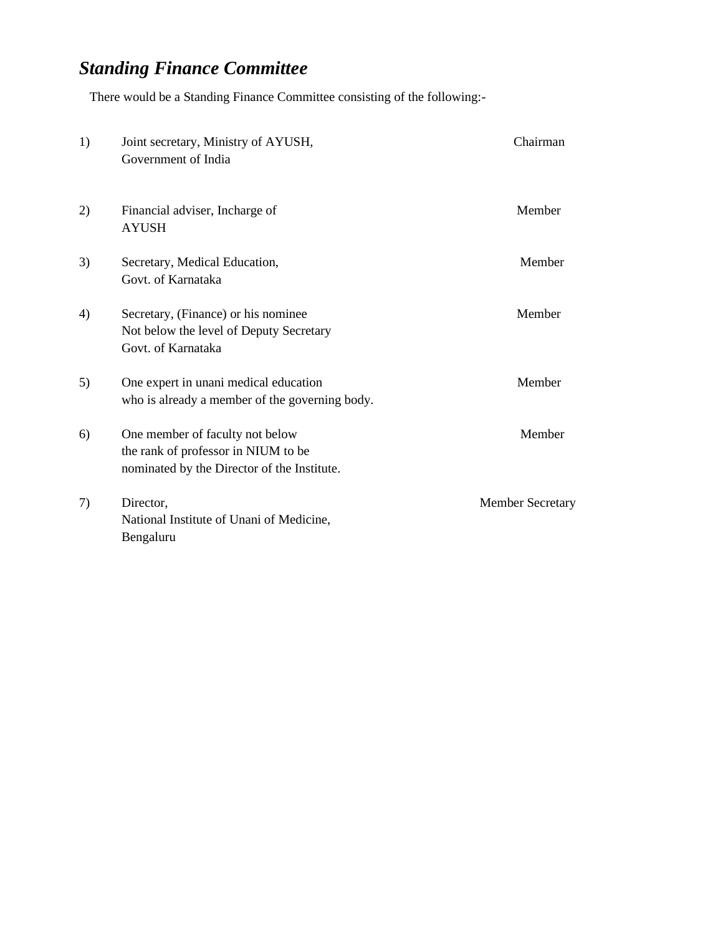# *Standing Finance Committee*

There would be a Standing Finance Committee consisting of the following:-

| 1) | Joint secretary, Ministry of AYUSH,<br>Government of India                                                            | Chairman                |
|----|-----------------------------------------------------------------------------------------------------------------------|-------------------------|
| 2) | Financial adviser, Incharge of<br><b>AYUSH</b>                                                                        | Member                  |
| 3) | Secretary, Medical Education,<br>Govt. of Karnataka                                                                   | Member                  |
| 4) | Secretary, (Finance) or his nominee<br>Not below the level of Deputy Secretary<br>Govt. of Karnataka                  | Member                  |
| 5) | One expert in unani medical education<br>who is already a member of the governing body.                               | Member                  |
| 6) | One member of faculty not below<br>the rank of professor in NIUM to be<br>nominated by the Director of the Institute. | Member                  |
| 7) | Director,<br>National Institute of Unani of Medicine,<br>Bengaluru                                                    | <b>Member Secretary</b> |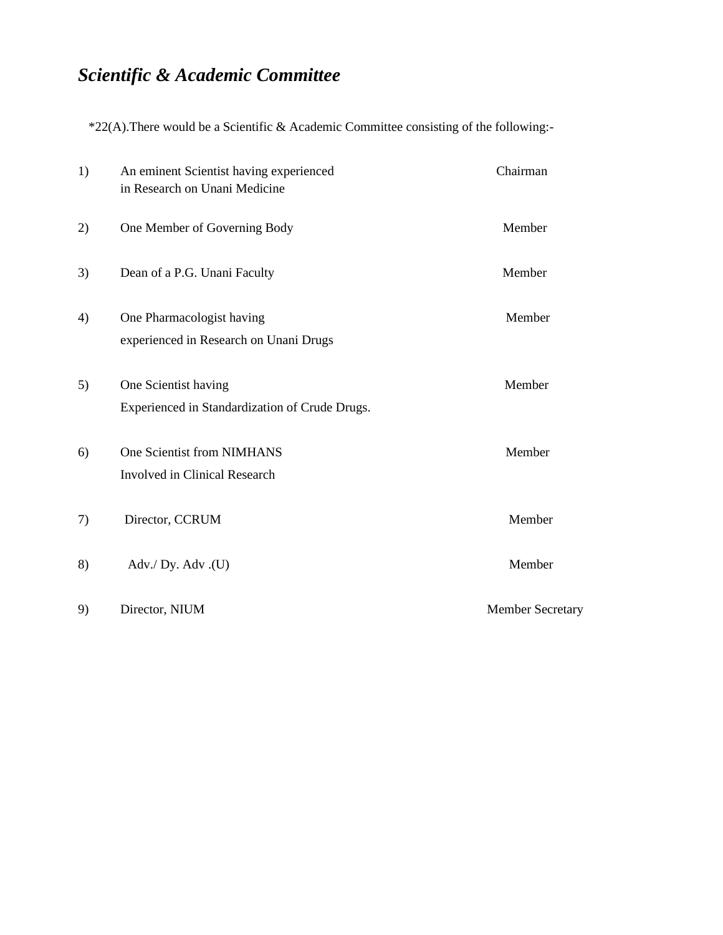# *Scientific & Academic Committee*

\*22(A).There would be a Scientific & Academic Committee consisting of the following:-

| 1) | An eminent Scientist having experienced<br>in Research on Unani Medicine | Chairman                |
|----|--------------------------------------------------------------------------|-------------------------|
| 2) | One Member of Governing Body                                             | Member                  |
| 3) | Dean of a P.G. Unani Faculty                                             | Member                  |
| 4) | One Pharmacologist having<br>experienced in Research on Unani Drugs      | Member                  |
| 5) | One Scientist having<br>Experienced in Standardization of Crude Drugs.   | Member                  |
| 6) | One Scientist from NIMHANS<br><b>Involved in Clinical Research</b>       | Member                  |
| 7) | Director, CCRUM                                                          | Member                  |
| 8) | Adv./ Dy. Adv.(U)                                                        | Member                  |
| 9) | Director, NIUM                                                           | <b>Member Secretary</b> |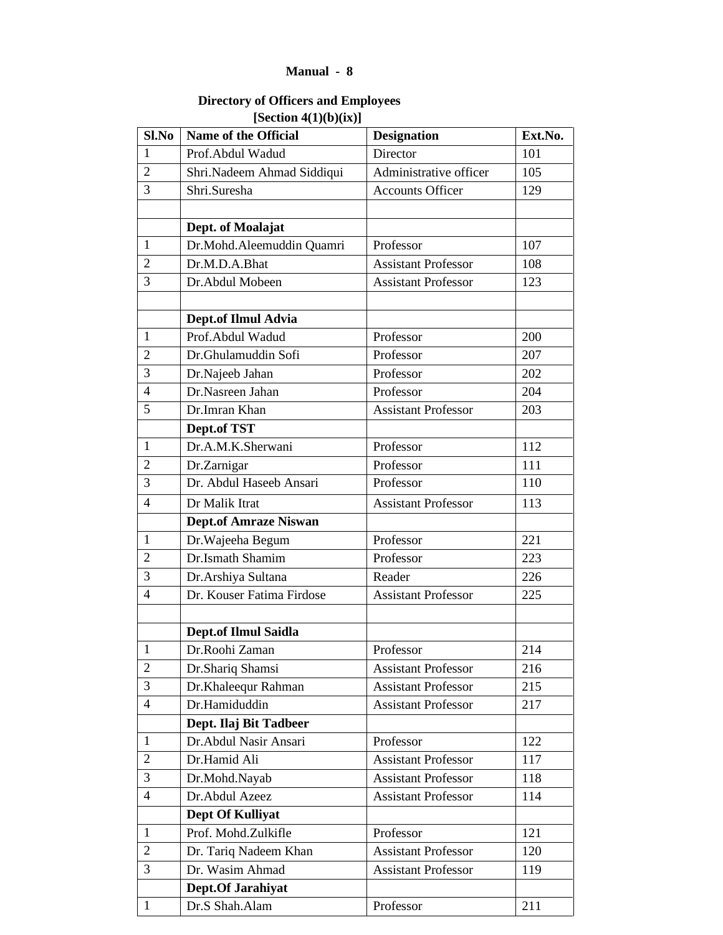## **Directory of Officers and Employees [Section 4(1)(b)(ix)]**

| Sl.No          | <b>Name of the Official</b>  | <b>Designation</b>         | Ext.No. |
|----------------|------------------------------|----------------------------|---------|
| $\mathbf{1}$   | Prof.Abdul Wadud             | Director                   | 101     |
| $\overline{2}$ | Shri.Nadeem Ahmad Siddiqui   | Administrative officer     | 105     |
| 3              | Shri.Suresha                 | <b>Accounts Officer</b>    | 129     |
|                |                              |                            |         |
|                | Dept. of Moalajat            |                            |         |
| 1              | Dr.Mohd.Aleemuddin Quamri    | Professor                  | 107     |
| $\overline{2}$ | Dr.M.D.A.Bhat                | <b>Assistant Professor</b> | 108     |
| 3              | Dr.Abdul Mobeen              | <b>Assistant Professor</b> | 123     |
|                |                              |                            |         |
|                | Dept.of Ilmul Advia          |                            |         |
| $\mathbf{1}$   | Prof.Abdul Wadud             | Professor                  | 200     |
| 2              | Dr.Ghulamuddin Sofi          | Professor                  | 207     |
| 3              | Dr.Najeeb Jahan              | Professor                  | 202     |
| $\overline{4}$ | Dr.Nasreen Jahan             | Professor                  | 204     |
| 5              | Dr.Imran Khan                | <b>Assistant Professor</b> | 203     |
|                | Dept.of TST                  |                            |         |
| 1              | Dr.A.M.K.Sherwani            | Professor                  | 112     |
| $\overline{2}$ | Dr.Zarnigar                  | Professor                  | 111     |
| 3              | Dr. Abdul Haseeb Ansari      | Professor                  | 110     |
| $\overline{4}$ | Dr Malik Itrat               | <b>Assistant Professor</b> | 113     |
|                | <b>Dept.of Amraze Niswan</b> |                            |         |
| $\mathbf{1}$   | Dr. Wajeeha Begum            | Professor                  | 221     |
| $\overline{2}$ | Dr.Ismath Shamim             | Professor                  | 223     |
| 3              | Dr. Arshiya Sultana          | Reader                     | 226     |
| $\overline{4}$ | Dr. Kouser Fatima Firdose    | <b>Assistant Professor</b> | 225     |
|                |                              |                            |         |
|                | <b>Dept.of Ilmul Saidla</b>  |                            |         |
| $\mathbf{1}$   | Dr.Roohi Zaman               | Professor                  | 214     |
| $\overline{2}$ | Dr.Shariq Shamsi             | <b>Assistant Professor</b> | 216     |
| 3              | Dr.Khaleequr Rahman          | <b>Assistant Professor</b> | 215     |
| $\overline{4}$ | Dr.Hamiduddin                | <b>Assistant Professor</b> | 217     |
|                | Dept. Ilaj Bit Tadbeer       |                            |         |
| $\mathbf{1}$   | Dr.Abdul Nasir Ansari        | Professor                  | 122     |
| $\overline{2}$ | Dr.Hamid Ali                 | <b>Assistant Professor</b> | 117     |
| 3              | Dr.Mohd.Nayab                | <b>Assistant Professor</b> | 118     |
| $\overline{4}$ | Dr.Abdul Azeez               | <b>Assistant Professor</b> | 114     |
|                | <b>Dept Of Kulliyat</b>      |                            |         |
| $\mathbf{1}$   | Prof. Mohd.Zulkifle          | Professor                  | 121     |
| $\overline{2}$ | Dr. Tariq Nadeem Khan        | <b>Assistant Professor</b> | 120     |
| 3              | Dr. Wasim Ahmad              | <b>Assistant Professor</b> | 119     |
|                | Dept.Of Jarahiyat            |                            |         |
| $\mathbf{1}$   | Dr.S Shah.Alam               | Professor                  | 211     |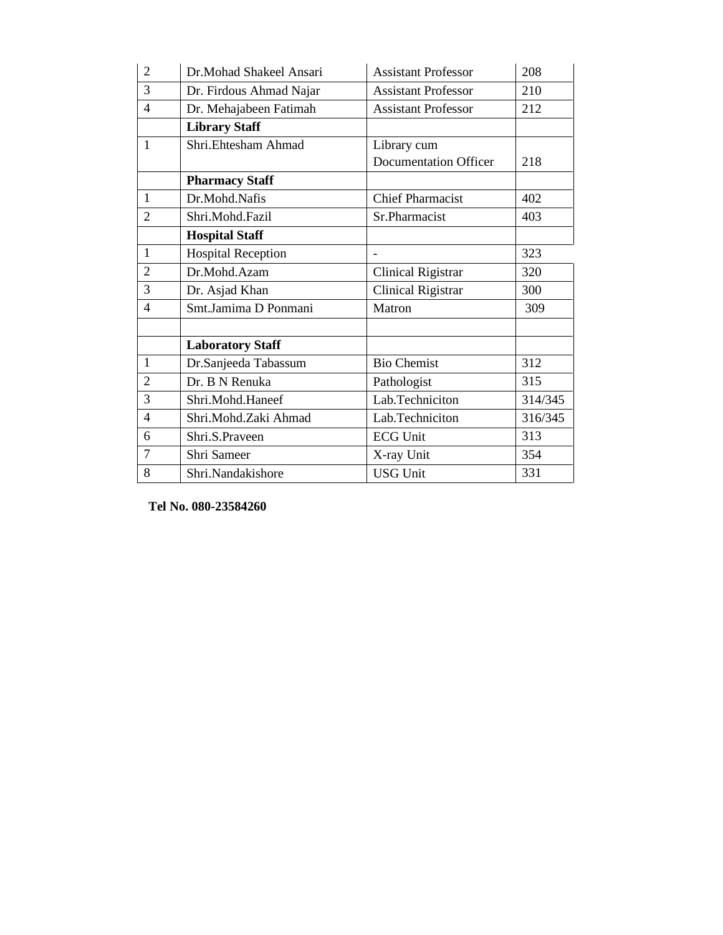| $\overline{2}$ | Dr.Mohad Shakeel Ansari   | 208<br><b>Assistant Professor</b> |         |
|----------------|---------------------------|-----------------------------------|---------|
| 3              | Dr. Firdous Ahmad Najar   | 210<br><b>Assistant Professor</b> |         |
| $\overline{4}$ | Dr. Mehajabeen Fatimah    | <b>Assistant Professor</b>        | 212     |
|                | <b>Library Staff</b>      |                                   |         |
| $\mathbf{1}$   | Shri.Ehtesham Ahmad       | Library cum                       |         |
|                |                           | <b>Documentation Officer</b>      | 218     |
|                | <b>Pharmacy Staff</b>     |                                   |         |
| 1              | Dr.Mohd.Nafis             | <b>Chief Pharmacist</b>           | 402     |
| $\mathfrak{D}$ | Shri.Mohd.Fazil           | Sr.Pharmacist                     | 403     |
|                | <b>Hospital Staff</b>     |                                   |         |
| $\mathbf{1}$   | <b>Hospital Reception</b> | $\overline{\phantom{a}}$          | 323     |
| $\overline{2}$ | Dr.Mohd.Azam              | <b>Clinical Rigistrar</b>         | 320     |
| 3              | Dr. Asjad Khan            | <b>Clinical Rigistrar</b>         | 300     |
| $\overline{4}$ | Smt.Jamima D Ponmani      | Matron                            | 309     |
|                |                           |                                   |         |
|                | <b>Laboratory Staff</b>   |                                   |         |
| 1              | Dr.Sanjeeda Tabassum      | <b>Bio Chemist</b>                | 312     |
| $\overline{2}$ | Dr. B N Renuka            | Pathologist                       | 315     |
| 3              | Shri.Mohd.Haneef          | Lab.Techniciton                   | 314/345 |
| $\overline{4}$ | Shri.Mohd.Zaki Ahmad      | Lab.Techniciton                   | 316/345 |
| 6              | Shri.S.Praveen            | <b>ECG Unit</b>                   | 313     |
| 7              | Shri Sameer               | X-ray Unit                        | 354     |
| 8              | Shri.Nandakishore         | <b>USG Unit</b>                   | 331     |

 **Tel No. 080-23584260**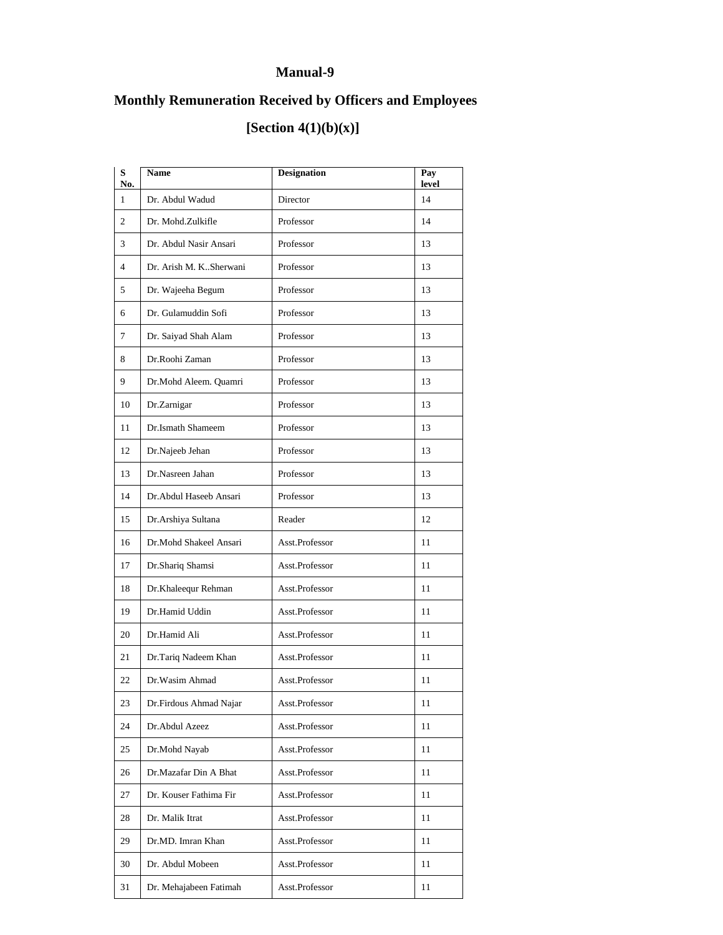# **Monthly Remuneration Received by Officers and Employees**

# **[Section 4(1)(b)(x)]**

| S<br>No.       | <b>Name</b>              | <b>Designation</b> | Pay<br>level |
|----------------|--------------------------|--------------------|--------------|
| $\mathbf{1}$   | Dr. Abdul Wadud          | Director           | 14           |
| $\overline{c}$ | Dr. Mohd.Zulkifle        | Professor          | 14           |
| 3              | Dr. Abdul Nasir Ansari   | Professor          | 13           |
| $\overline{4}$ | Dr. Arish M. K. Sherwani | Professor          | 13           |
| 5              | Dr. Wajeeha Begum        | Professor          | 13           |
| 6              | Dr. Gulamuddin Sofi      | Professor          | 13           |
| 7              | Dr. Saiyad Shah Alam     | Professor          | 13           |
| 8              | Dr.Roohi Zaman           | Professor          | 13           |
| 9              | Dr.Mohd Aleem. Quamri    | Professor          | 13           |
| 10             | Dr.Zarnigar              | Professor          | 13           |
| 11             | Dr. Ismath Shameem       | Professor          | 13           |
| 12             | Dr.Najeeb Jehan          | Professor          | 13           |
| 13             | Dr.Nasreen Jahan         | Professor          | 13           |
| 14             | Dr. Abdul Haseeb Ansari  | Professor          | 13           |
| 15             | Dr. Arshiya Sultana      | Reader             | 12           |
| 16             | Dr.Mohd Shakeel Ansari   | Asst.Professor     | 11           |
| 17             | Dr.Shariq Shamsi         | Asst.Professor     | 11           |
| 18             | Dr.Khaleequr Rehman      | Asst.Professor     | 11           |
| 19             | Dr.Hamid Uddin           | Asst.Professor     | 11           |
| 20             | Dr.Hamid Ali             | Asst.Professor     | 11           |
| 21             | Dr.Tariq Nadeem Khan     | Asst.Professor     | 11           |
| 22             | Dr. Wasim Ahmad          | Asst.Professor     | 11           |
| 23             | Dr.Firdous Ahmad Najar   | Asst.Professor     | 11           |
| 24             | Dr.Abdul Azeez           | Asst.Professor     | 11           |
| 25             | Dr.Mohd Nayab            | Asst.Professor     | 11           |
| 26             | Dr.Mazafar Din A Bhat    | Asst.Professor     | 11           |
| 27             | Dr. Kouser Fathima Fir   | Asst.Professor     | 11           |
| 28             | Dr. Malik Itrat          | Asst.Professor     | 11           |
| 29             | Dr.MD. Imran Khan        | Asst.Professor     | 11           |
| 30             | Dr. Abdul Mobeen         | Asst.Professor     | 11           |
| 31             | Dr. Mehajabeen Fatimah   | Asst.Professor     | 11           |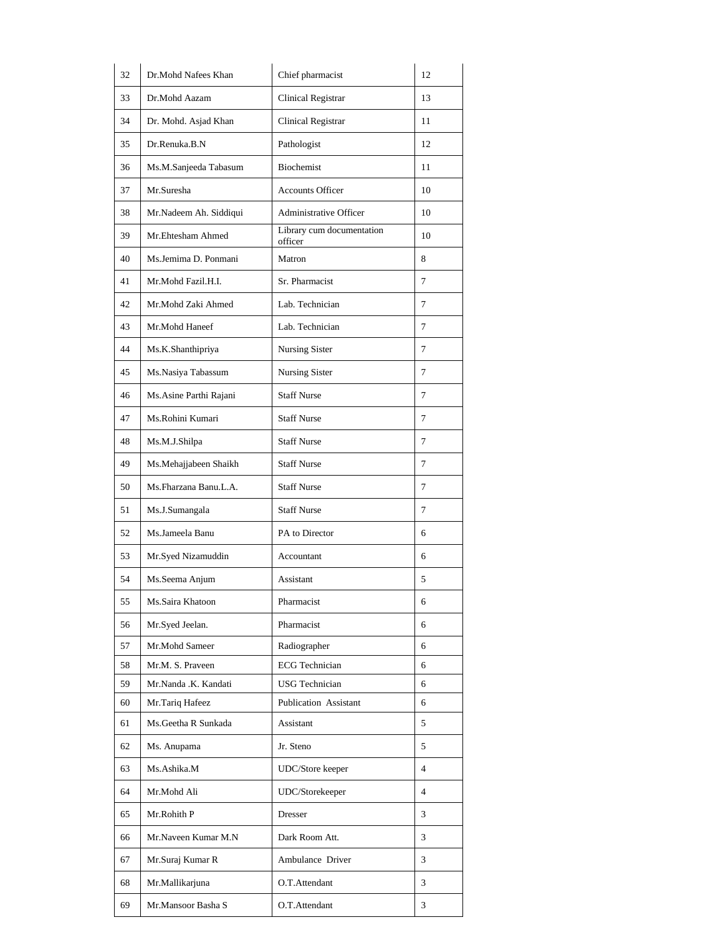| 32 | Dr.Mohd Nafees Khan     | Chief pharmacist                     | 12             |
|----|-------------------------|--------------------------------------|----------------|
| 33 | Dr.Mohd Aazam           | <b>Clinical Registrar</b>            | 13             |
| 34 | Dr. Mohd. Asjad Khan    | <b>Clinical Registrar</b>            | 11             |
| 35 | Dr.Renuka.B.N           | Pathologist                          | 12             |
| 36 | Ms.M.Sanjeeda Tabasum   | <b>Biochemist</b>                    | 11             |
| 37 | Mr.Suresha              | <b>Accounts Officer</b>              | 10             |
| 38 | Mr.Nadeem Ah. Siddiqui  | Administrative Officer               | 10             |
| 39 | Mr.Ehtesham Ahmed       | Library cum documentation<br>officer | 10             |
| 40 | Ms.Jemima D. Ponmani    | Matron                               | 8              |
| 41 | Mr.Mohd Fazil.H.I.      | Sr. Pharmacist                       | 7              |
| 42 | Mr.Mohd Zaki Ahmed      | Lab. Technician                      | 7              |
| 43 | Mr.Mohd Haneef          | Lab. Technician                      | 7              |
| 44 | Ms.K.Shanthipriya       | <b>Nursing Sister</b>                | 7              |
| 45 | Ms.Nasiya Tabassum      | Nursing Sister                       | 7              |
| 46 | Ms. Asine Parthi Rajani | <b>Staff Nurse</b>                   | 7              |
| 47 | Ms.Rohini Kumari        | <b>Staff Nurse</b>                   | 7              |
| 48 | Ms.M.J.Shilpa           | <b>Staff Nurse</b>                   | 7              |
| 49 | Ms.Mehajjabeen Shaikh   | <b>Staff Nurse</b>                   | 7              |
| 50 | Ms.Fharzana Banu.L.A.   | <b>Staff Nurse</b>                   | 7              |
| 51 | Ms.J.Sumangala          | <b>Staff Nurse</b>                   | 7              |
| 52 | Ms.Jameela Banu         | PA to Director                       | 6              |
| 53 | Mr.Syed Nizamuddin      | Accountant                           | 6              |
| 54 | Ms.Seema Anjum          | Assistant                            | 5              |
| 55 | Ms.Saira Khatoon        | Pharmacist                           | 6              |
| 56 | Mr.Syed Jeelan.         | Pharmacist                           | 6              |
| 57 | Mr.Mohd Sameer          | Radiographer                         | 6              |
| 58 | Mr.M. S. Praveen        | <b>ECG</b> Technician                | 6              |
| 59 | Mr.Nanda .K. Kandati    | <b>USG</b> Technician                | 6              |
| 60 | Mr.Tariq Hafeez         | Publication Assistant                | 6              |
| 61 | Ms.Geetha R Sunkada     | Assistant                            | 5              |
| 62 | Ms. Anupama             | Jr. Steno                            | 5              |
| 63 | Ms.Ashika.M             | UDC/Store keeper                     | $\overline{4}$ |
| 64 | Mr.Mohd Ali             | UDC/Storekeeper                      | 4              |
| 65 | Mr.Rohith P             | Dresser                              | 3              |
| 66 | Mr.Naveen Kumar M.N     | Dark Room Att.                       | 3              |
| 67 | Mr.Suraj Kumar R        | Ambulance Driver                     | 3              |
| 68 | Mr.Mallikarjuna         | O.T.Attendant                        | 3              |
| 69 | Mr.Mansoor Basha S      | O.T.Attendant                        | 3              |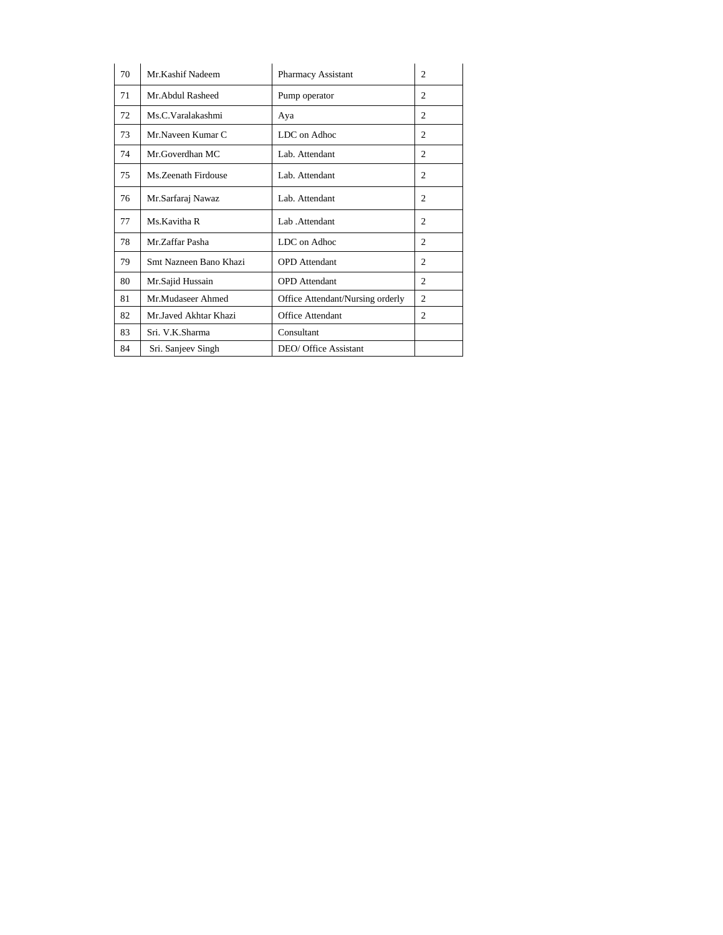| 70 | Mr.Kashif Nadeem       | <b>Pharmacy Assistant</b>        | $\overline{c}$ |
|----|------------------------|----------------------------------|----------------|
| 71 | Mr. Abdul Rasheed      | Pump operator                    | 2              |
| 72 | Ms.C.Varalakashmi      | Aya                              | $\overline{c}$ |
| 73 | Mr Naveen Kumar C      | LDC on Adhoc                     | 2              |
| 74 | Mr.Goverdhan MC        | Lab. Attendant                   | $\overline{c}$ |
| 75 | Ms. Zeenath Firdouse   | Lab. Attendant                   | 2              |
| 76 | Mr.Sarfaraj Nawaz      | Lab. Attendant                   | $\overline{c}$ |
| 77 | Ms.Kavitha R           | Lab .Attendant                   | $\overline{c}$ |
| 78 | Mr.Zaffar Pasha        | LDC on Adhoc                     | 2              |
| 79 | Smt Nazneen Bano Khazi | <b>OPD</b> Attendant             | 2              |
| 80 | Mr.Sajid Hussain       | <b>OPD</b> Attendant             | 2              |
| 81 | Mr.Mudaseer Ahmed      | Office Attendant/Nursing orderly | $\overline{2}$ |
| 82 | Mr.Javed Akhtar Khazi  | Office Attendant                 | $\overline{c}$ |
| 83 | Sri. V.K.Sharma        | Consultant                       |                |
| 84 | Sri. Sanjeev Singh     | DEO/ Office Assistant            |                |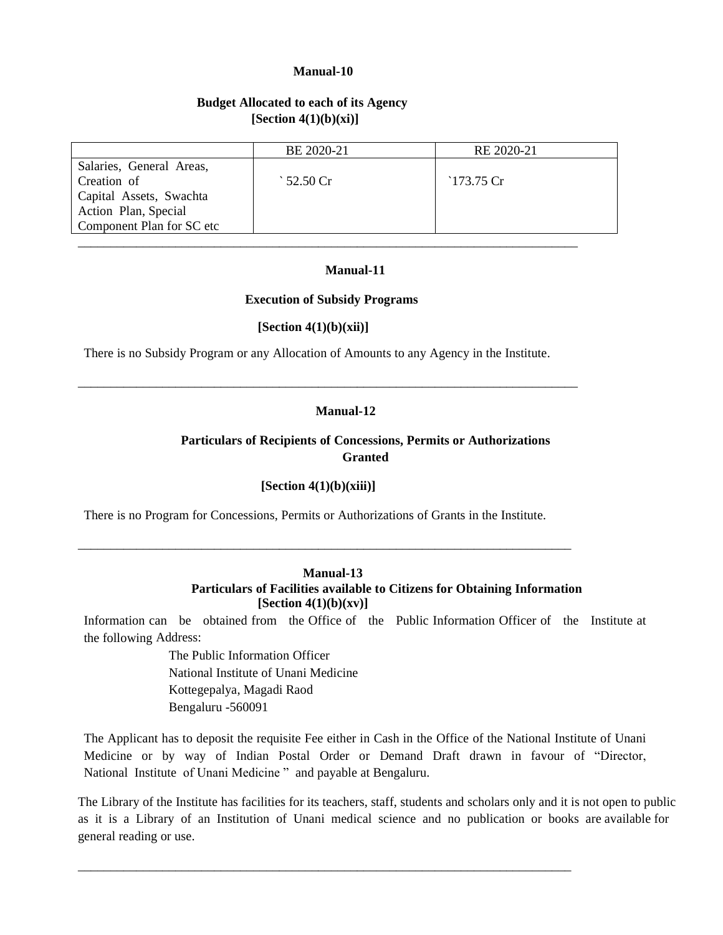#### **Budget Allocated to each of its Agency [Section 4(1)(b)(xi)]**

|                           | BE 2020-21   | RE 2020-21  |
|---------------------------|--------------|-------------|
| Salaries, General Areas,  |              |             |
| Creation of               | ` 52.50 $Cr$ | $173.75$ Cr |
| Capital Assets, Swachta   |              |             |
| Action Plan, Special      |              |             |
| Component Plan for SC etc |              |             |
|                           |              |             |

#### **Manual-11**

#### **Execution of Subsidy Programs**

#### **[Section 4(1)(b)(xii)]**

There is no Subsidy Program or any Allocation of Amounts to any Agency in the Institute.

\_\_\_\_\_\_\_\_\_\_\_\_\_\_\_\_\_\_\_\_\_\_\_\_\_\_\_\_\_\_\_\_\_\_\_\_\_\_\_\_\_\_\_\_\_\_\_\_\_\_\_\_\_\_\_\_\_\_\_\_\_\_\_\_\_\_\_\_\_\_\_\_\_\_\_\_\_

#### **Manual-12**

#### **Particulars of Recipients of Concessions, Permits or Authorizations Granted**

#### **[Section 4(1)(b)(xiii)]**

There is no Program for Concessions, Permits or Authorizations of Grants in the Institute.

\_\_\_\_\_\_\_\_\_\_\_\_\_\_\_\_\_\_\_\_\_\_\_\_\_\_\_\_\_\_\_\_\_\_\_\_\_\_\_\_\_\_\_\_\_\_\_\_\_\_\_\_\_\_\_\_\_\_\_\_\_\_\_\_\_\_\_\_\_\_\_\_\_\_\_\_

#### **Manual-13 Particulars of Facilities available to Citizens for Obtaining Information [Section 4(1)(b)(xv)]**

Information can be obtained from the Office of the Public Information Officer of the Institute at the following Address:

> The Public Information Officer National Institute of Unani Medicine Kottegepalya, Magadi Raod Bengaluru -560091

The Applicant has to deposit the requisite Fee either in Cash in the Office of the National Institute of Unani Medicine or by way of Indian Postal Order or Demand Draft drawn in favour of "Director, National Institute of Unani Medicine " and payable at Bengaluru.

The Library of the Institute has facilities for its teachers, staff, students and scholars only and it is not open to public as it is a Library of an Institution of Unani medical science and no publication or books are available for general reading or use.

\_\_\_\_\_\_\_\_\_\_\_\_\_\_\_\_\_\_\_\_\_\_\_\_\_\_\_\_\_\_\_\_\_\_\_\_\_\_\_\_\_\_\_\_\_\_\_\_\_\_\_\_\_\_\_\_\_\_\_\_\_\_\_\_\_\_\_\_\_\_\_\_\_\_\_\_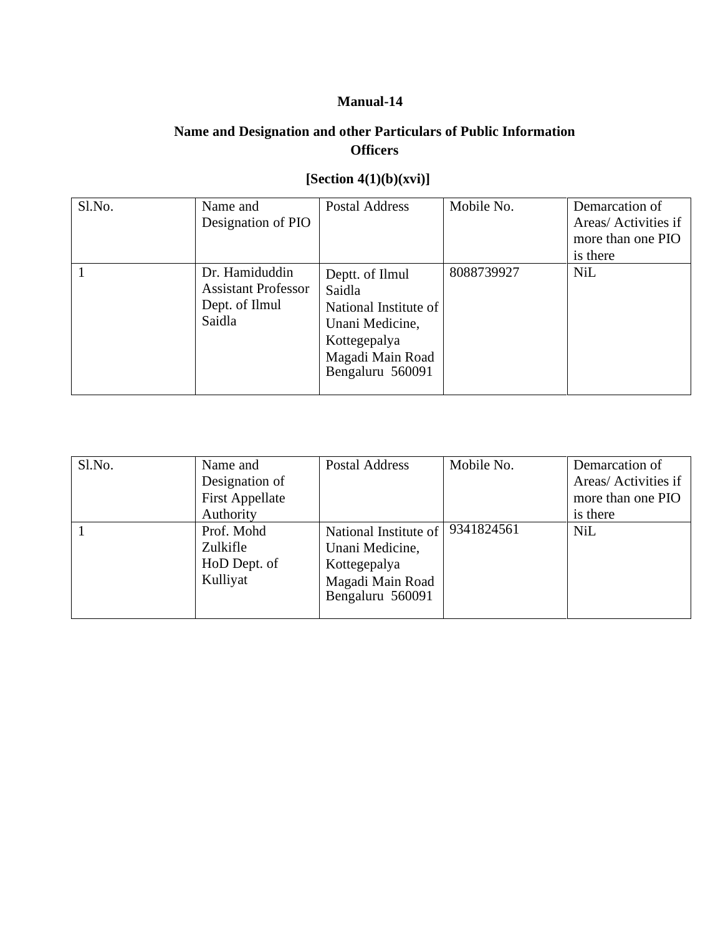# **Name and Designation and other Particulars of Public Information Officers**

# **[Section 4(1)(b)(xvi)]**

| Sl.No. | Name and<br>Designation of PIO                                           | <b>Postal Address</b>                                                                                                         | Mobile No. | Demarcation of<br>Areas/ Activities if<br>more than one PIO<br>is there |
|--------|--------------------------------------------------------------------------|-------------------------------------------------------------------------------------------------------------------------------|------------|-------------------------------------------------------------------------|
|        | Dr. Hamiduddin<br><b>Assistant Professor</b><br>Dept. of Ilmul<br>Saidla | Deptt. of Ilmul<br>Saidla<br>National Institute of<br>Unani Medicine,<br>Kottegepalya<br>Magadi Main Road<br>Bengaluru 560091 | 8088739927 | <b>NiL</b>                                                              |

| Sl.No. | Name and<br>Designation of<br><b>First Appellate</b><br>Authority | Postal Address                                                                                   | Mobile No. | Demarcation of<br>Areas/ Activities if<br>more than one PIO<br>is there |
|--------|-------------------------------------------------------------------|--------------------------------------------------------------------------------------------------|------------|-------------------------------------------------------------------------|
|        | Prof. Mohd<br>Zulkifle<br>HoD Dept. of<br>Kulliyat                | National Institute of<br>Unani Medicine,<br>Kottegepalya<br>Magadi Main Road<br>Bengaluru 560091 | 9341824561 | <b>NiL</b>                                                              |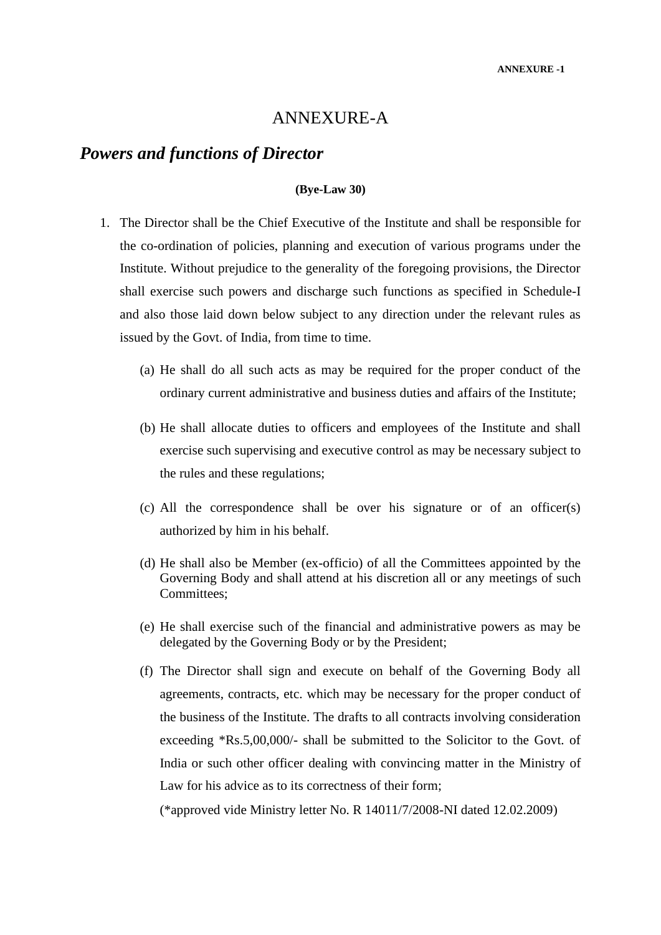# ANNEXURE-A

# *Powers and functions of Director*

#### **(Bye-Law 30)**

- 1. The Director shall be the Chief Executive of the Institute and shall be responsible for the co-ordination of policies, planning and execution of various programs under the Institute. Without prejudice to the generality of the foregoing provisions, the Director shall exercise such powers and discharge such functions as specified in Schedule-I and also those laid down below subject to any direction under the relevant rules as issued by the Govt. of India, from time to time.
	- (a) He shall do all such acts as may be required for the proper conduct of the ordinary current administrative and business duties and affairs of the Institute;
	- (b) He shall allocate duties to officers and employees of the Institute and shall exercise such supervising and executive control as may be necessary subject to the rules and these regulations;
	- (c) All the correspondence shall be over his signature or of an officer(s) authorized by him in his behalf.
	- (d) He shall also be Member (ex-officio) of all the Committees appointed by the Governing Body and shall attend at his discretion all or any meetings of such Committees;
	- (e) He shall exercise such of the financial and administrative powers as may be delegated by the Governing Body or by the President;
	- (f) The Director shall sign and execute on behalf of the Governing Body all agreements, contracts, etc. which may be necessary for the proper conduct of the business of the Institute. The drafts to all contracts involving consideration exceeding \*Rs.5,00,000/- shall be submitted to the Solicitor to the Govt. of India or such other officer dealing with convincing matter in the Ministry of Law for his advice as to its correctness of their form;

(\*approved vide Ministry letter No. R 14011/7/2008-NI dated 12.02.2009)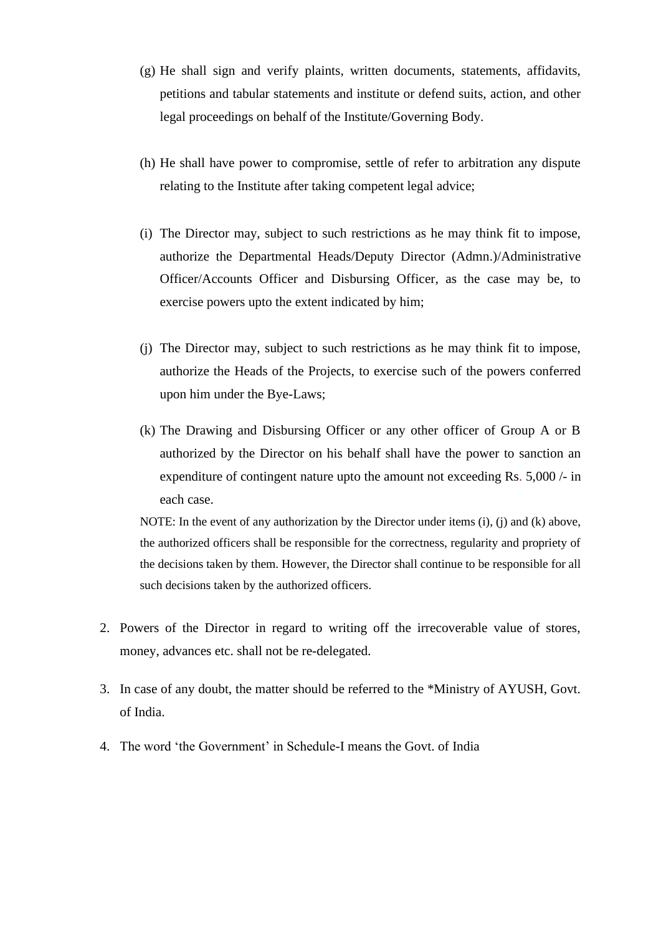- (g) He shall sign and verify plaints, written documents, statements, affidavits, petitions and tabular statements and institute or defend suits, action, and other legal proceedings on behalf of the Institute/Governing Body.
- (h) He shall have power to compromise, settle of refer to arbitration any dispute relating to the Institute after taking competent legal advice;
- (i) The Director may, subject to such restrictions as he may think fit to impose, authorize the Departmental Heads/Deputy Director (Admn.)/Administrative Officer/Accounts Officer and Disbursing Officer, as the case may be, to exercise powers upto the extent indicated by him;
- (j) The Director may, subject to such restrictions as he may think fit to impose, authorize the Heads of the Projects, to exercise such of the powers conferred upon him under the Bye-Laws;
- (k) The Drawing and Disbursing Officer or any other officer of Group A or B authorized by the Director on his behalf shall have the power to sanction an expenditure of contingent nature upto the amount not exceeding Rs. 5,000 /- in each case.

NOTE: In the event of any authorization by the Director under items (i), (j) and (k) above, the authorized officers shall be responsible for the correctness, regularity and propriety of the decisions taken by them. However, the Director shall continue to be responsible for all such decisions taken by the authorized officers.

- 2. Powers of the Director in regard to writing off the irrecoverable value of stores, money, advances etc. shall not be re-delegated.
- 3. In case of any doubt, the matter should be referred to the \*Ministry of AYUSH, Govt. of India.
- 4. The word 'the Government' in Schedule-I means the Govt. of India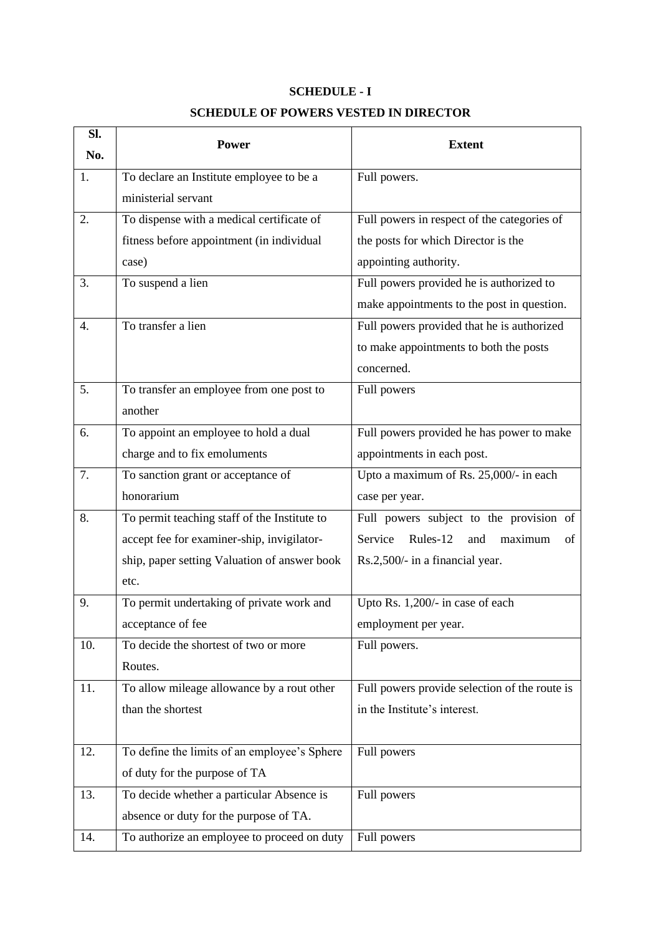# **SCHEDULE - I**

# **SCHEDULE OF POWERS VESTED IN DIRECTOR**

| Sl. | <b>Power</b>                                 | <b>Extent</b>                                 |  |
|-----|----------------------------------------------|-----------------------------------------------|--|
| No. |                                              |                                               |  |
| 1.  | To declare an Institute employee to be a     | Full powers.                                  |  |
|     | ministerial servant                          |                                               |  |
| 2.  | To dispense with a medical certificate of    | Full powers in respect of the categories of   |  |
|     | fitness before appointment (in individual    | the posts for which Director is the           |  |
|     | case)                                        | appointing authority.                         |  |
| 3.  | To suspend a lien                            | Full powers provided he is authorized to      |  |
|     |                                              | make appointments to the post in question.    |  |
| 4.  | To transfer a lien                           | Full powers provided that he is authorized    |  |
|     |                                              | to make appointments to both the posts        |  |
|     |                                              | concerned.                                    |  |
| 5.  | To transfer an employee from one post to     | Full powers                                   |  |
|     | another                                      |                                               |  |
| 6.  | To appoint an employee to hold a dual        | Full powers provided he has power to make     |  |
|     | charge and to fix emoluments                 | appointments in each post.                    |  |
| 7.  | To sanction grant or acceptance of           | Upto a maximum of Rs. 25,000/- in each        |  |
|     | honorarium                                   | case per year.                                |  |
| 8.  | To permit teaching staff of the Institute to | Full powers subject to the provision of       |  |
|     | accept fee for examiner-ship, invigilator-   | Rules-12<br>Service<br>maximum<br>of<br>and   |  |
|     | ship, paper setting Valuation of answer book | Rs.2,500/- in a financial year.               |  |
|     | etc.                                         |                                               |  |
| 9.  | To permit undertaking of private work and    | Upto Rs. 1,200/- in case of each              |  |
|     | acceptance of fee                            | employment per year.                          |  |
| 10. | To decide the shortest of two or more        | Full powers.                                  |  |
|     | Routes.                                      |                                               |  |
| 11. | To allow mileage allowance by a rout other   | Full powers provide selection of the route is |  |
|     | than the shortest                            | in the Institute's interest.                  |  |
|     |                                              |                                               |  |
| 12. | To define the limits of an employee's Sphere | Full powers                                   |  |
|     | of duty for the purpose of TA                |                                               |  |
| 13. | To decide whether a particular Absence is    | Full powers                                   |  |
|     | absence or duty for the purpose of TA.       |                                               |  |
| 14. | To authorize an employee to proceed on duty  | Full powers                                   |  |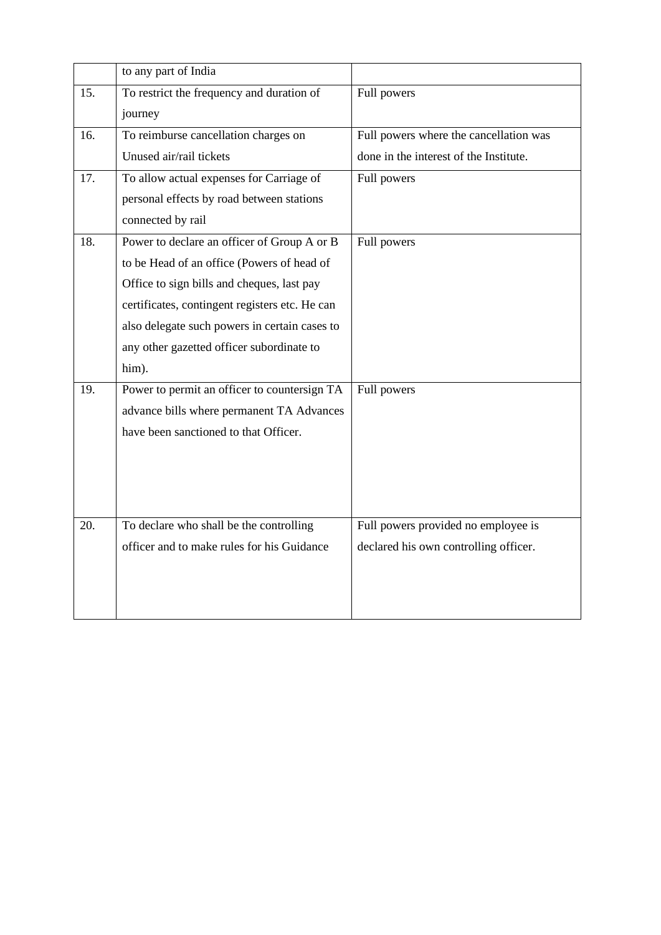|     | to any part of India                           |                                        |
|-----|------------------------------------------------|----------------------------------------|
| 15. | To restrict the frequency and duration of      | Full powers                            |
|     | journey                                        |                                        |
| 16. | To reimburse cancellation charges on           | Full powers where the cancellation was |
|     | Unused air/rail tickets                        | done in the interest of the Institute. |
| 17. | To allow actual expenses for Carriage of       | Full powers                            |
|     | personal effects by road between stations      |                                        |
|     | connected by rail                              |                                        |
| 18. | Power to declare an officer of Group A or B    | Full powers                            |
|     | to be Head of an office (Powers of head of     |                                        |
|     | Office to sign bills and cheques, last pay     |                                        |
|     | certificates, contingent registers etc. He can |                                        |
|     | also delegate such powers in certain cases to  |                                        |
|     | any other gazetted officer subordinate to      |                                        |
|     | him).                                          |                                        |
| 19. | Power to permit an officer to countersign TA   | Full powers                            |
|     | advance bills where permanent TA Advances      |                                        |
|     | have been sanctioned to that Officer.          |                                        |
|     |                                                |                                        |
|     |                                                |                                        |
|     |                                                |                                        |
| 20. | To declare who shall be the controlling        | Full powers provided no employee is    |
|     | officer and to make rules for his Guidance     | declared his own controlling officer.  |
|     |                                                |                                        |
|     |                                                |                                        |
|     |                                                |                                        |
|     |                                                |                                        |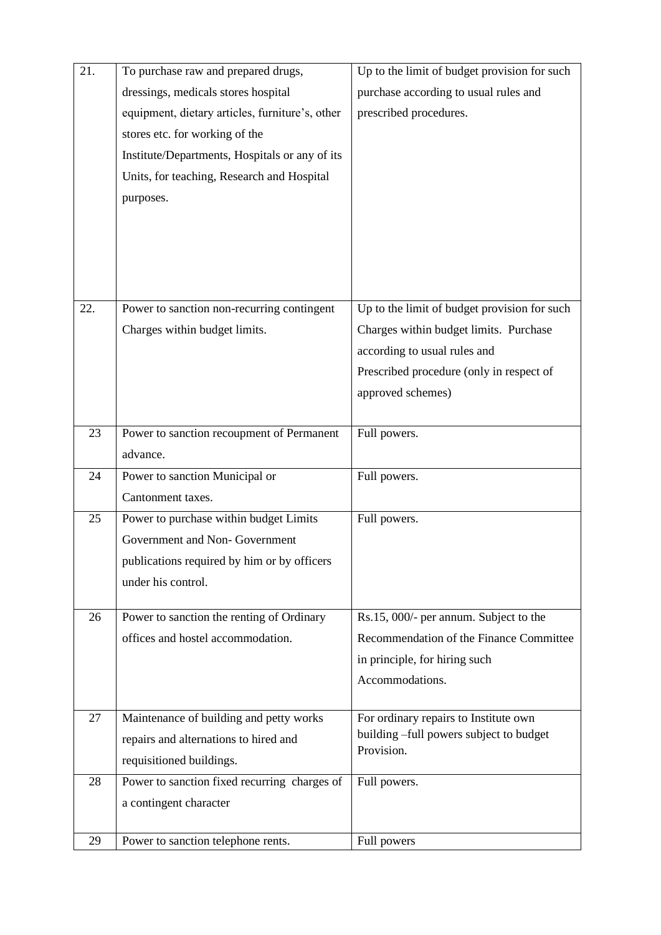| 21. | To purchase raw and prepared drugs,             | Up to the limit of budget provision for such |
|-----|-------------------------------------------------|----------------------------------------------|
|     | dressings, medicals stores hospital             | purchase according to usual rules and        |
|     | equipment, dietary articles, furniture's, other | prescribed procedures.                       |
|     | stores etc. for working of the                  |                                              |
|     | Institute/Departments, Hospitals or any of its  |                                              |
|     | Units, for teaching, Research and Hospital      |                                              |
|     | purposes.                                       |                                              |
|     |                                                 |                                              |
|     |                                                 |                                              |
|     |                                                 |                                              |
|     |                                                 |                                              |
| 22. | Power to sanction non-recurring contingent      | Up to the limit of budget provision for such |
|     |                                                 |                                              |
|     | Charges within budget limits.                   | Charges within budget limits. Purchase       |
|     |                                                 | according to usual rules and                 |
|     |                                                 | Prescribed procedure (only in respect of     |
|     |                                                 | approved schemes)                            |
| 23  | Power to sanction recoupment of Permanent       | Full powers.                                 |
|     | advance.                                        |                                              |
| 24  | Power to sanction Municipal or                  | Full powers.                                 |
|     | Cantonment taxes.                               |                                              |
| 25  | Power to purchase within budget Limits          | Full powers.                                 |
|     | Government and Non-Government                   |                                              |
|     | publications required by him or by officers     |                                              |
|     | under his control.                              |                                              |
|     |                                                 |                                              |
| 26  | Power to sanction the renting of Ordinary       | Rs.15, 000/- per annum. Subject to the       |
|     | offices and hostel accommodation.               | Recommendation of the Finance Committee      |
|     |                                                 | in principle, for hiring such                |
|     |                                                 | Accommodations.                              |
|     |                                                 |                                              |
| 27  | Maintenance of building and petty works         | For ordinary repairs to Institute own        |
|     | repairs and alternations to hired and           | building -full powers subject to budget      |
|     | requisitioned buildings.                        | Provision.                                   |
| 28  | Power to sanction fixed recurring charges of    | Full powers.                                 |
|     | a contingent character                          |                                              |
|     |                                                 |                                              |
| 29  | Power to sanction telephone rents.              | Full powers                                  |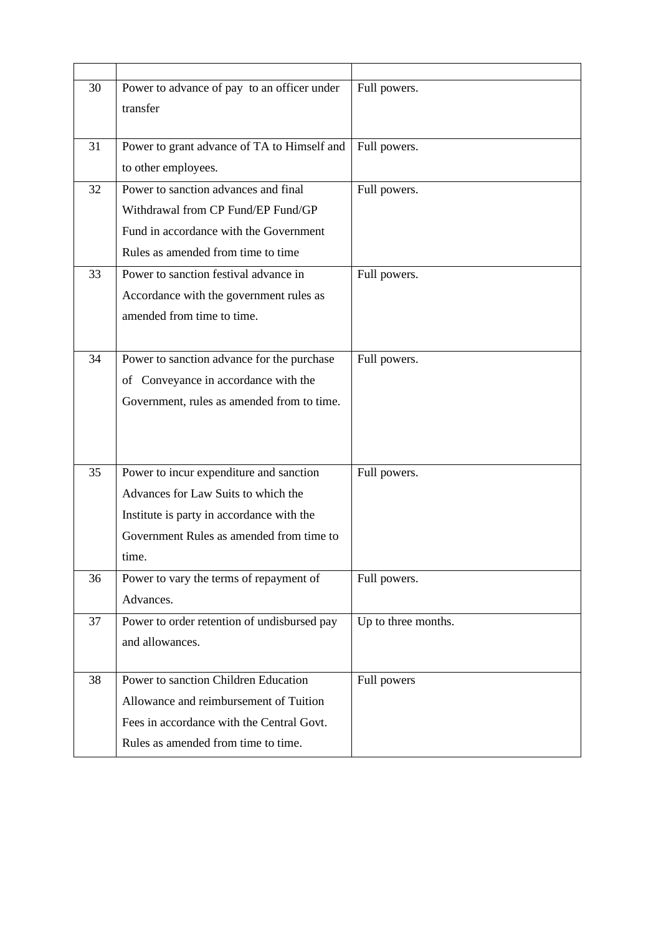| 30 | Power to advance of pay to an officer under                                    | Full powers.        |
|----|--------------------------------------------------------------------------------|---------------------|
|    | transfer                                                                       |                     |
|    |                                                                                |                     |
| 31 | Power to grant advance of TA to Himself and                                    | Full powers.        |
|    | to other employees.                                                            |                     |
| 32 | Power to sanction advances and final                                           | Full powers.        |
|    | Withdrawal from CP Fund/EP Fund/GP                                             |                     |
|    | Fund in accordance with the Government                                         |                     |
|    | Rules as amended from time to time                                             |                     |
| 33 | Power to sanction festival advance in                                          | Full powers.        |
|    | Accordance with the government rules as                                        |                     |
|    | amended from time to time.                                                     |                     |
|    |                                                                                |                     |
| 34 | Power to sanction advance for the purchase                                     | Full powers.        |
|    | of Conveyance in accordance with the                                           |                     |
|    | Government, rules as amended from to time.                                     |                     |
|    |                                                                                |                     |
|    |                                                                                |                     |
| 35 |                                                                                |                     |
|    | Power to incur expenditure and sanction<br>Advances for Law Suits to which the | Full powers.        |
|    |                                                                                |                     |
|    | Institute is party in accordance with the                                      |                     |
|    | Government Rules as amended from time to                                       |                     |
|    | time.                                                                          |                     |
| 36 | Power to vary the terms of repayment of                                        | Full powers.        |
|    | Advances.                                                                      |                     |
| 37 | Power to order retention of undisbursed pay                                    | Up to three months. |
|    | and allowances.                                                                |                     |
|    |                                                                                |                     |
| 38 | Power to sanction Children Education                                           | Full powers         |
|    | Allowance and reimbursement of Tuition                                         |                     |
|    | Fees in accordance with the Central Govt.                                      |                     |
|    | Rules as amended from time to time.                                            |                     |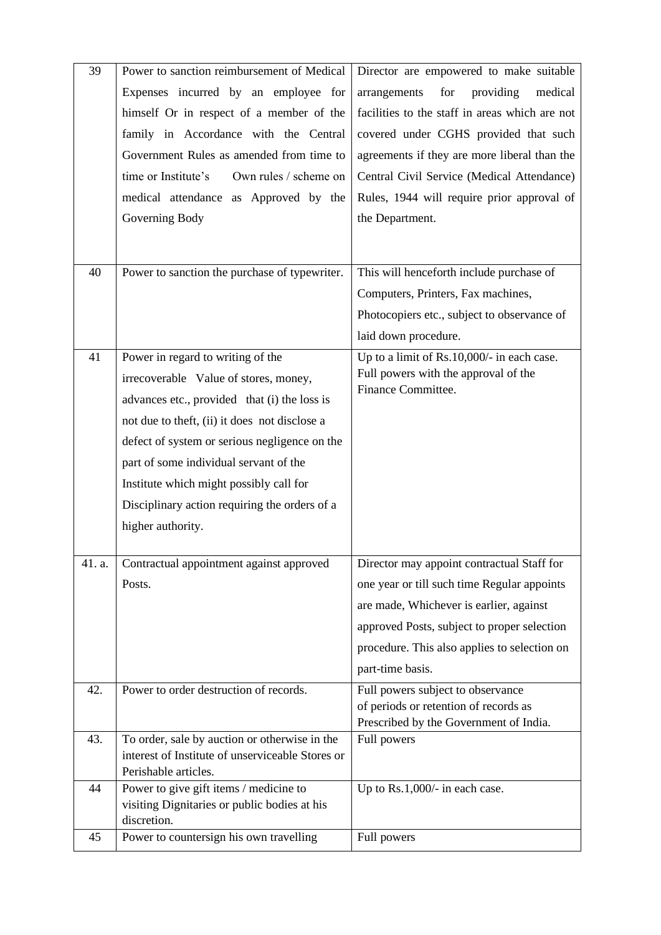| 39     | Power to sanction reimbursement of Medical                                               | Director are empowered to make suitable                                            |
|--------|------------------------------------------------------------------------------------------|------------------------------------------------------------------------------------|
|        | Expenses incurred by an employee for                                                     | for<br>providing<br>medical<br>arrangements                                        |
|        | himself Or in respect of a member of the                                                 | facilities to the staff in areas which are not                                     |
|        | family in Accordance with the Central                                                    | covered under CGHS provided that such                                              |
|        | Government Rules as amended from time to                                                 | agreements if they are more liberal than the                                       |
|        | time or Institute's<br>Own rules / scheme on                                             | Central Civil Service (Medical Attendance)                                         |
|        | medical attendance as Approved by the                                                    | Rules, 1944 will require prior approval of                                         |
|        | Governing Body                                                                           | the Department.                                                                    |
|        |                                                                                          |                                                                                    |
| 40     | Power to sanction the purchase of typewriter.                                            | This will henceforth include purchase of                                           |
|        |                                                                                          | Computers, Printers, Fax machines,                                                 |
|        |                                                                                          | Photocopiers etc., subject to observance of                                        |
|        |                                                                                          | laid down procedure.                                                               |
| 41     | Power in regard to writing of the                                                        |                                                                                    |
|        |                                                                                          | Up to a limit of Rs.10,000/- in each case.<br>Full powers with the approval of the |
|        | irrecoverable Value of stores, money,                                                    | Finance Committee.                                                                 |
|        | advances etc., provided that (i) the loss is                                             |                                                                                    |
|        | not due to theft, (ii) it does not disclose a                                            |                                                                                    |
|        | defect of system or serious negligence on the                                            |                                                                                    |
|        | part of some individual servant of the                                                   |                                                                                    |
|        | Institute which might possibly call for<br>Disciplinary action requiring the orders of a |                                                                                    |
|        | higher authority.                                                                        |                                                                                    |
|        |                                                                                          |                                                                                    |
| 41. a. | Contractual appointment against approved                                                 | Director may appoint contractual Staff for                                         |
|        | Posts.                                                                                   | one year or till such time Regular appoints                                        |
|        |                                                                                          | are made, Whichever is earlier, against                                            |
|        |                                                                                          | approved Posts, subject to proper selection                                        |
|        |                                                                                          | procedure. This also applies to selection on                                       |
|        |                                                                                          | part-time basis.                                                                   |
| 42.    | Power to order destruction of records.                                                   | Full powers subject to observance                                                  |
|        |                                                                                          | of periods or retention of records as                                              |
| 43.    | To order, sale by auction or otherwise in the                                            | Prescribed by the Government of India.<br>Full powers                              |
|        | interest of Institute of unserviceable Stores or                                         |                                                                                    |
|        | Perishable articles.                                                                     |                                                                                    |
| 44     | Power to give gift items / medicine to                                                   | Up to Rs.1,000/- in each case.                                                     |
|        | visiting Dignitaries or public bodies at his<br>discretion.                              |                                                                                    |
| 45     | Power to countersign his own travelling                                                  | Full powers                                                                        |